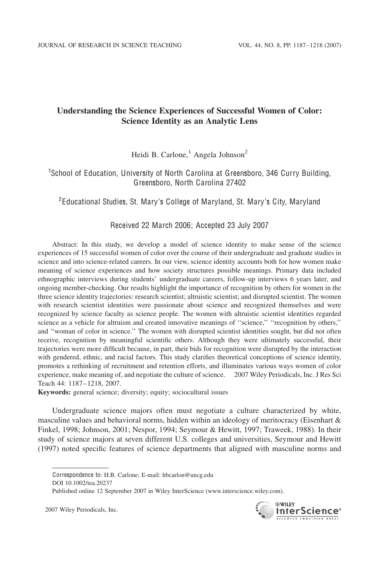# Understanding the Science Experiences of Successful Women of Color: Science Identity as an Analytic Lens

Heidi B. Carlone, $<sup>1</sup>$  Angela Johnson<sup>2</sup></sup>

# <sup>1</sup>School of Education, University of North Carolina at Greensboro, 346 Curry Building, Greensboro, North Carolina 27402

<sup>2</sup>Educational Studies, St. Mary's College of Maryland, St. Mary's City, Maryland

## Received 22 March 2006; Accepted 23 July 2007

Abstract: In this study, we develop a model of science identity to make sense of the science experiences of 15 successful women of color over the course of their undergraduate and graduate studies in science and into science-related careers. In our view, science identity accounts both for how women make meaning of science experiences and how society structures possible meanings. Primary data included ethnographic interviews during students' undergraduate careers, follow-up interviews 6 years later, and ongoing member-checking. Our results highlight the importance of recognition by others for women in the three science identity trajectories: research scientist; altruistic scientist; and disrupted scientist. The women with research scientist identities were passionate about science and recognized themselves and were recognized by science faculty as science people. The women with altruistic scientist identities regarded science as a vehicle for altruism and created innovative meanings of ''science,'' ''recognition by others,'' and ''woman of color in science.'' The women with disrupted scientist identities sought, but did not often receive, recognition by meaningful scientific others. Although they were ultimately successful, their trajectories were more difficult because, in part, their bids for recognition were disrupted by the interaction with gendered, ethnic, and racial factors. This study clarifies theoretical conceptions of science identity, promotes a rethinking of recruitment and retention efforts, and illuminates various ways women of color experience, make meaning of, and negotiate the culture of science. 2007 Wiley Periodicals, Inc. J Res Sci Teach 44: 1187–1218, 2007.

Keywords: general science; diversity; equity; sociocultural issues

Undergraduate science majors often must negotiate a culture characterized by white, masculine values and behavioral norms, hidden within an ideology of meritocracy (Eisenhart & Finkel, 1998; Johnson, 2001; Nespor, 1994; Seymour & Hewitt, 1997; Traweek, 1988). In their study of science majors at seven different U.S. colleges and universities, Seymour and Hewitt (1997) noted specific features of science departments that aligned with masculine norms and

DOI 10.1002/tea.20237

2007 Wiley Periodicals, Inc.



Correspondence to: H.B. Carlone; E-mail: hbcarlon@uncg.edu

Published online 12 September 2007 in Wiley InterScience (www.interscience.wiley.com).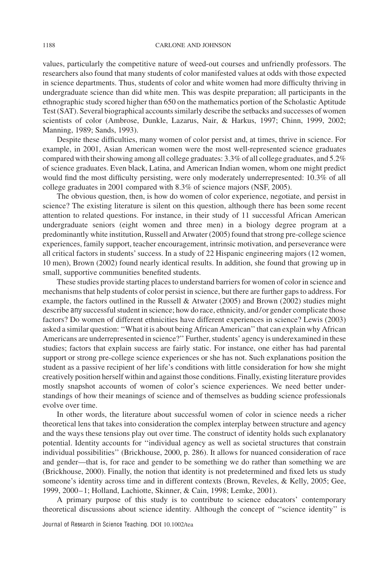values, particularly the competitive nature of weed-out courses and unfriendly professors. The researchers also found that many students of color manifested values at odds with those expected in science departments. Thus, students of color and white women had more difficulty thriving in undergraduate science than did white men. This was despite preparation; all participants in the ethnographic study scored higher than 650 on the mathematics portion of the Scholastic Aptitude Test (SAT). Several biographical accounts similarly describe the setbacks and successes of women scientists of color (Ambrose, Dunkle, Lazarus, Nair, & Harkus, 1997; Chinn, 1999, 2002; Manning, 1989; Sands, 1993).

Despite these difficulties, many women of color persist and, at times, thrive in science. For example, in 2001, Asian American women were the most well-represented science graduates compared with their showing among all college graduates: 3.3% of all college graduates, and 5.2% of science graduates. Even black, Latina, and American Indian women, whom one might predict would find the most difficulty persisting, were only moderately underrepresented: 10.3% of all college graduates in 2001 compared with 8.3% of science majors (NSF, 2005).

The obvious question, then, is how do women of color experience, negotiate, and persist in science? The existing literature is silent on this question, although there has been some recent attention to related questions. For instance, in their study of 11 successful African American undergraduate seniors (eight women and three men) in a biology degree program at a predominantly white institution, Russell and Atwater (2005) found that strong pre-college science experiences, family support, teacher encouragement, intrinsic motivation, and perseverance were all critical factors in students' success. In a study of 22 Hispanic engineering majors (12 women, 10 men), Brown (2002) found nearly identical results. In addition, she found that growing up in small, supportive communities benefited students.

These studies provide starting places to understand barriers for women of color in science and mechanisms that help students of color persist in science, but there are further gaps to address. For example, the factors outlined in the Russell & Atwater (2005) and Brown (2002) studies might describe any successful student in science; how do race, ethnicity, and/or gender complicate those factors? Do women of different ethnicities have different experiences in science? Lewis (2003) asked a similar question: ''What it is about being African American'' that can explain why African Americans are underrepresented in science?'' Further, students' agency is underexamined in these studies; factors that explain success are fairly static. For instance, one either has had parental support or strong pre-college science experiences or she has not. Such explanations position the student as a passive recipient of her life's conditions with little consideration for how she might creatively position herself within and against those conditions. Finally, existing literature provides mostly snapshot accounts of women of color's science experiences. We need better understandings of how their meanings of science and of themselves as budding science professionals evolve over time.

In other words, the literature about successful women of color in science needs a richer theoretical lens that takes into consideration the complex interplay between structure and agency and the ways these tensions play out over time. The construct of identity holds such explanatory potential. Identity accounts for ''individual agency as well as societal structures that constrain individual possibilities'' (Brickhouse, 2000, p. 286). It allows for nuanced consideration of race and gender—that is, for race and gender to be something we do rather than something we are (Brickhouse, 2000). Finally, the notion that identity is not predetermined and fixed lets us study someone's identity across time and in different contexts (Brown, Reveles, & Kelly, 2005; Gee, 1999, 2000–1; Holland, Lachiotte, Skinner, & Cain, 1998; Lemke, 2001).

A primary purpose of this study is to contribute to science educators' contemporary theoretical discussions about science identity. Although the concept of ''science identity'' is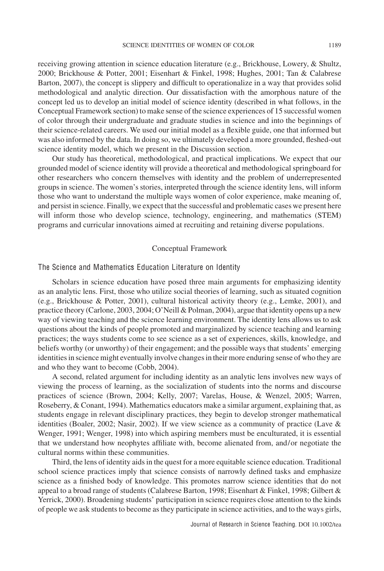receiving growing attention in science education literature (e.g., Brickhouse, Lowery, & Shultz, 2000; Brickhouse & Potter, 2001; Eisenhart & Finkel, 1998; Hughes, 2001; Tan & Calabrese Barton, 2007), the concept is slippery and difficult to operationalize in a way that provides solid methodological and analytic direction. Our dissatisfaction with the amorphous nature of the concept led us to develop an initial model of science identity (described in what follows, in the Conceptual Framework section) to make sense of the science experiences of 15 successful women of color through their undergraduate and graduate studies in science and into the beginnings of their science-related careers. We used our initial model as a flexible guide, one that informed but was also informed by the data. In doing so, we ultimately developed a more grounded, fleshed-out science identity model, which we present in the Discussion section.

Our study has theoretical, methodological, and practical implications. We expect that our grounded model of science identity will provide a theoretical and methodological springboard for other researchers who concern themselves with identity and the problem of underrepresented groups in science. The women's stories, interpreted through the science identity lens, will inform those who want to understand the multiple ways women of color experience, make meaning of, and persist in science. Finally, we expect that the successful and problematic cases we present here will inform those who develop science, technology, engineering, and mathematics (STEM) programs and curricular innovations aimed at recruiting and retaining diverse populations.

#### Conceptual Framework

## The Science and Mathematics Education Literature on Identity

Scholars in science education have posed three main arguments for emphasizing identity as an analytic lens. First, those who utilize social theories of learning, such as situated cognition (e.g., Brickhouse & Potter, 2001), cultural historical activity theory (e.g., Lemke, 2001), and practice theory (Carlone, 2003, 2004; O'Neill & Polman, 2004), argue that identity opens up a new way of viewing teaching and the science learning environment. The identity lens allows us to ask questions about the kinds of people promoted and marginalized by science teaching and learning practices; the ways students come to see science as a set of experiences, skills, knowledge, and beliefs worthy (or unworthy) of their engagement; and the possible ways that students' emerging identities in science might eventually involve changes in their more enduring sense of who they are and who they want to become (Cobb, 2004).

A second, related argument for including identity as an analytic lens involves new ways of viewing the process of learning, as the socialization of students into the norms and discourse practices of science (Brown, 2004; Kelly, 2007; Varelas, House, & Wenzel, 2005; Warren, Roseberry, & Conant, 1994). Mathematics educators make a similar argument, explaining that, as students engage in relevant disciplinary practices, they begin to develop stronger mathematical identities (Boaler, 2002; Nasir, 2002). If we view science as a community of practice (Lave & Wenger, 1991; Wenger, 1998) into which aspiring members must be enculturated, it is essential that we understand how neophytes affiliate with, become alienated from, and/or negotiate the cultural norms within these communities.

Third, the lens of identity aids in the quest for a more equitable science education. Traditional school science practices imply that science consists of narrowly defined tasks and emphasize science as a finished body of knowledge. This promotes narrow science identities that do not appeal to a broad range of students (Calabrese Barton, 1998; Eisenhart & Finkel, 1998; Gilbert & Yerrick, 2000). Broadening students' participation in science requires close attention to the kinds of people we ask students to become as they participate in science activities, and to the ways girls,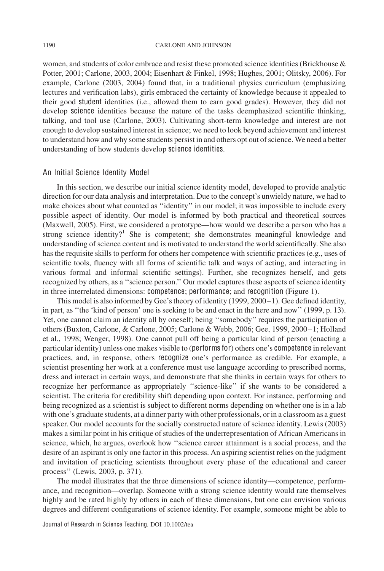women, and students of color embrace and resist these promoted science identities (Brickhouse & Potter, 2001; Carlone, 2003, 2004; Eisenhart & Finkel, 1998; Hughes, 2001; Olitsky, 2006). For example, Carlone (2003, 2004) found that, in a traditional physics curriculum (emphasizing lectures and verification labs), girls embraced the certainty of knowledge because it appealed to their good student identities (i.e., allowed them to earn good grades). However, they did not develop science identities because the nature of the tasks deemphasized scientific thinking, talking, and tool use (Carlone, 2003). Cultivating short-term knowledge and interest are not enough to develop sustained interest in science; we need to look beyond achievement and interest to understand how and why some students persist in and others opt out of science. We need a better understanding of how students develop science identities.

#### An Initial Science Identity Model

In this section, we describe our initial science identity model, developed to provide analytic direction for our data analysis and interpretation. Due to the concept's unwieldy nature, we had to make choices about what counted as ''identity'' in our model; it was impossible to include every possible aspect of identity. Our model is informed by both practical and theoretical sources (Maxwell, 2005). First, we considered a prototype—how would we describe a person who has a strong science identity?<sup>1</sup> She is competent; she demonstrates meaningful knowledge and understanding of science content and is motivated to understand the world scientifically. She also has the requisite skills to perform for others her competence with scientific practices (e.g., uses of scientific tools, fluency with all forms of scientific talk and ways of acting, and interacting in various formal and informal scientific settings). Further, she recognizes herself, and gets recognized by others, as a ''science person.'' Our model captures these aspects of science identity in three interrelated dimensions: competence; performance; and recognition (Figure 1).

This model is also informed by Gee's theory of identity (1999, 2000–1). Gee defined identity, in part, as ''the 'kind of person' one is seeking to be and enact in the here and now'' (1999, p. 13). Yet, one cannot claim an identity all by oneself; being ''somebody'' requires the participation of others (Buxton, Carlone, & Carlone, 2005; Carlone & Webb, 2006; Gee, 1999, 2000–1; Holland et al., 1998; Wenger, 1998). One cannot pull off being a particular kind of person (enacting a particular identity) unless one makes visible to (performs for) others one's competence in relevant practices, and, in response, others recognize one's performance as credible. For example, a scientist presenting her work at a conference must use language according to prescribed norms, dress and interact in certain ways, and demonstrate that she thinks in certain ways for others to recognize her performance as appropriately ''science-like'' if she wants to be considered a scientist. The criteria for credibility shift depending upon context. For instance, performing and being recognized as a scientist is subject to different norms depending on whether one is in a lab with one's graduate students, at a dinner party with other professionals, or in a classroom as a guest speaker. Our model accounts for the socially constructed nature of science identity. Lewis (2003) makes a similar point in his critique of studies of the underrepresentation of African Americans in science, which, he argues, overlook how ''science career attainment is a social process, and the desire of an aspirant is only one factor in this process. An aspiring scientist relies on the judgment and invitation of practicing scientists throughout every phase of the educational and career process'' (Lewis, 2003, p. 371).

The model illustrates that the three dimensions of science identity—competence, performance, and recognition—overlap. Someone with a strong science identity would rate themselves highly and be rated highly by others in each of these dimensions, but one can envision various degrees and different configurations of science identity. For example, someone might be able to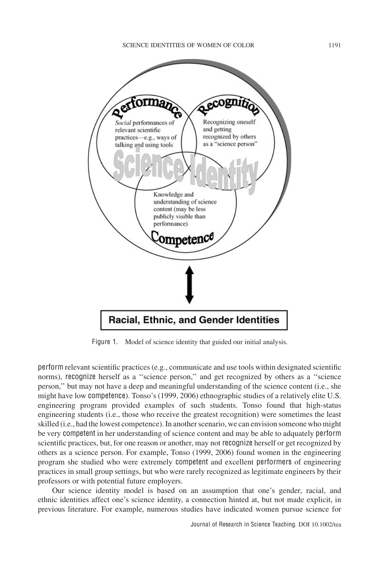

Figure 1. Model of science identity that guided our initial analysis.

perform relevant scientific practices (e.g., communicate and use tools within designated scientific norms), recognize herself as a ''science person,'' and get recognized by others as a ''science person,'' but may not have a deep and meaningful understanding of the science content (i.e., she might have low competence). Tonso's (1999, 2006) ethnographic studies of a relatively elite U.S. engineering program provided examples of such students. Tonso found that high-status engineering students (i.e., those who receive the greatest recognition) were sometimes the least skilled (i.e., had the lowest competence). In another scenario, we can envision someone who might be very competent in her understanding of science content and may be able to adquately perform scientific practices, but, for one reason or another, may not recognize herself or get recognized by others as a science person. For example, Tonso (1999, 2006) found women in the engineering program she studied who were extremely competent and excellent performers of engineering practices in small group settings, but who were rarely recognized as legitimate engineers by their professors or with potential future employers.

Our science identity model is based on an assumption that one's gender, racial, and ethnic identities affect one's science identity, a connection hinted at, but not made explicit, in previous literature. For example, numerous studies have indicated women pursue science for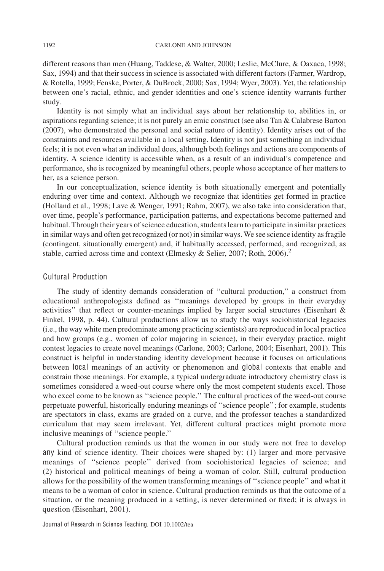different reasons than men (Huang, Taddese, & Walter, 2000; Leslie, McClure, & Oaxaca, 1998; Sax, 1994) and that their success in science is associated with different factors (Farmer, Wardrop, & Rotella, 1999; Fenske, Porter, & DuBrock, 2000; Sax, 1994; Wyer, 2003). Yet, the relationship between one's racial, ethnic, and gender identities and one's science identity warrants further study.

Identity is not simply what an individual says about her relationship to, abilities in, or aspirations regarding science; it is not purely an emic construct (see also Tan & Calabrese Barton (2007), who demonstrated the personal and social nature of identity). Identity arises out of the constraints and resources available in a local setting. Identity is not just something an individual feels; it is not even what an individual does, although both feelings and actions are components of identity. A science identity is accessible when, as a result of an individual's competence and performance, she is recognized by meaningful others, people whose acceptance of her matters to her, as a science person.

In our conceptualization, science identity is both situationally emergent and potentially enduring over time and context. Although we recognize that identities get formed in practice (Holland et al., 1998; Lave & Wenger, 1991; Rahm, 2007), we also take into consideration that, over time, people's performance, participation patterns, and expectations become patterned and habitual. Through their years of science education, students learn to participate in similar practices in similar ways and often get recognized (or not) in similar ways. We see science identity as fragile (contingent, situationally emergent) and, if habitually accessed, performed, and recognized, as stable, carried across time and context (Elmesky & Selier, 2007; Roth, 2006).<sup>2</sup>

#### Cultural Production

The study of identity demands consideration of ''cultural production,'' a construct from educational anthropologists defined as ''meanings developed by groups in their everyday activities'' that reflect or counter-meanings implied by larger social structures (Eisenhart & Finkel, 1998, p. 44). Cultural productions allow us to study the ways sociohistorical legacies (i.e., the way white men predominate among practicing scientists) are reproduced in local practice and how groups (e.g., women of color majoring in science), in their everyday practice, might contest legacies to create novel meanings (Carlone, 2003; Carlone, 2004; Eisenhart, 2001). This construct is helpful in understanding identity development because it focuses on articulations between local meanings of an activity or phenomenon and global contexts that enable and constrain those meanings. For example, a typical undergraduate introductory chemistry class is sometimes considered a weed-out course where only the most competent students excel. Those who excel come to be known as ''science people.'' The cultural practices of the weed-out course perpetuate powerful, historically enduring meanings of ''science people''; for example, students are spectators in class, exams are graded on a curve, and the professor teaches a standardized curriculum that may seem irrelevant. Yet, different cultural practices might promote more inclusive meanings of ''science people.''

Cultural production reminds us that the women in our study were not free to develop any kind of science identity. Their choices were shaped by: (1) larger and more pervasive meanings of ''science people'' derived from sociohistorical legacies of science; and (2) historical and political meanings of being a woman of color. Still, cultural production allows for the possibility of the women transforming meanings of ''science people'' and what it means to be a woman of color in science. Cultural production reminds us that the outcome of a situation, or the meaning produced in a setting, is never determined or fixed; it is always in question (Eisenhart, 2001).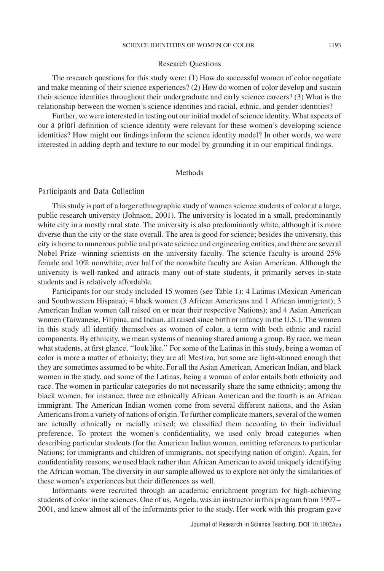#### SCIENCE IDENTITIES OF WOMEN OF COLOR 1193

#### Research Questions

The research questions for this study were: (1) How do successful women of color negotiate and make meaning of their science experiences? (2) How do women of color develop and sustain their science identities throughout their undergraduate and early science careers? (3) What is the relationship between the women's science identities and racial, ethnic, and gender identities?

Further, we were interested in testing out our initial model of science identity. What aspects of our a priori definition of science identity were relevant for these women's developing science identities? How might our findings inform the science identity model? In other words, we were interested in adding depth and texture to our model by grounding it in our empirical findings.

#### Methods

## Participants and Data Collection

This study is part of a larger ethnographic study of women science students of color at a large, public research university (Johnson, 2001). The university is located in a small, predominantly white city in a mostly rural state. The university is also predominantly white, although it is more diverse than the city or the state overall. The area is good for science; besides the university, this city is home to numerous public and private science and engineering entities, and there are several Nobel Prize–winning scientists on the university faculty. The science faculty is around 25% female and 10% nonwhite; over half of the nonwhite faculty are Asian American. Although the university is well-ranked and attracts many out-of-state students, it primarily serves in-state students and is relatively affordable.

Participants for our study included 15 women (see Table 1): 4 Latinas (Mexican American and Southwestern Hispana); 4 black women (3 African Americans and 1 African immigrant); 3 American Indian women (all raised on or near their respective Nations); and 4 Asian American women (Taiwanese, Filipina, and Indian, all raised since birth or infancy in the U.S.). The women in this study all identify themselves as women of color, a term with both ethnic and racial components. By ethnicity, we mean systems of meaning shared among a group. By race, we mean what students, at first glance, ''look like.'' For some of the Latinas in this study, being a woman of color is more a matter of ethnicity; they are all Mestiza, but some are light-skinned enough that they are sometimes assumed to be white. For all the Asian American, American Indian, and black women in the study, and some of the Latinas, being a woman of color entails both ethnicity and race. The women in particular categories do not necessarily share the same ethnicity; among the black women, for instance, three are ethnically African American and the fourth is an African immigrant. The American Indian women come from several different nations, and the Asian Americans from a variety of nations of origin. To further complicate matters, several of the women are actually ethnically or racially mixed; we classified them according to their individual preference. To protect the women's confidentiality, we used only broad categories when describing particular students (for the American Indian women, omitting references to particular Nations; for immigrants and children of immigrants, not specifying nation of origin). Again, for confidentiality reasons, we used black rather than African American to avoid uniquely identifying the African woman. The diversity in our sample allowed us to explore not only the similarities of these women's experiences but their differences as well.

Informants were recruited through an academic enrichment program for high-achieving students of color in the sciences. One of us, Angela, was an instructor in this program from 1997– 2001, and knew almost all of the informants prior to the study. Her work with this program gave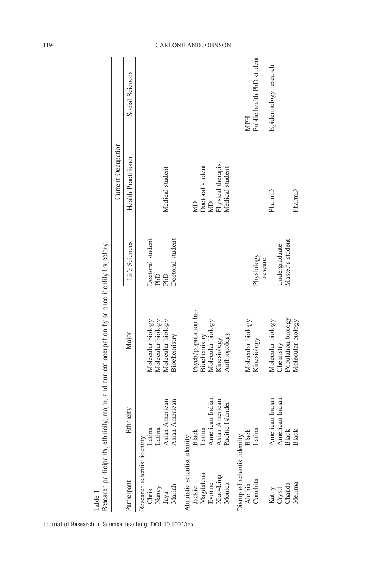| Table 1                       |                  | Research participants, ethnicity, major, and current occupation by science identity trajectory |                         |                     |                           |
|-------------------------------|------------------|------------------------------------------------------------------------------------------------|-------------------------|---------------------|---------------------------|
|                               |                  |                                                                                                |                         | Current Occupation  |                           |
| Participant                   | Ethnicity        | Major                                                                                          | Life Sciences           | Health Practitioner | Social Sciences           |
| Research scientist identity   |                  |                                                                                                |                         |                     |                           |
| Nancy<br>Chris                | Latina<br>atina  | Molecular biology<br>Molecular biology                                                         | Doctoral student<br>PhD |                     |                           |
| Jaya<br>Mariah                | Asian American   | Molecular biology                                                                              | PhD                     | Medical student     |                           |
|                               | Asian American   | Biochemistry                                                                                   | Doctoral student        |                     |                           |
| Altruistic scientist identity |                  |                                                                                                |                         |                     |                           |
| Jackie                        | <b>Black</b>     | Psych/population bio                                                                           |                         | g                   |                           |
| Magdalena                     | Latina           | Biochemistry                                                                                   |                         | Doctoral student    |                           |
| Evonne                        | American Indian  | Molecular biology                                                                              |                         | $\mathbb{R}$        |                           |
| Xiao-Ling                     | Asian American   | Kinesiology                                                                                    |                         | Physical therapist  |                           |
| Monica                        | Pacific Islander | Anthropology                                                                                   |                         | Medical student     |                           |
| Disrupted scientist identity  |                  |                                                                                                |                         |                     |                           |
| Alethia                       | Black            | Molecular biology                                                                              |                         |                     | <b>NPH</b>                |
| Conchita                      | Latina           | Kinesiology                                                                                    | research<br>Physiology  |                     | Public health PhD student |
| Kathy<br>Crystl<br>Chanda     | American Indian  | Molecular biology                                                                              |                         | PharmD              | Epidemiology research     |
|                               | American Indian  | Chemistry                                                                                      | Undergraduate           |                     |                           |
|                               | Black            | Population biology                                                                             | Master's student        |                     |                           |
| Merima                        | Black            | Molecular biology                                                                              |                         | PharmD              |                           |

Journal of Research in Science Teaching. DOI 10.1002/tea

## 1194 CARLONE AND JOHNSON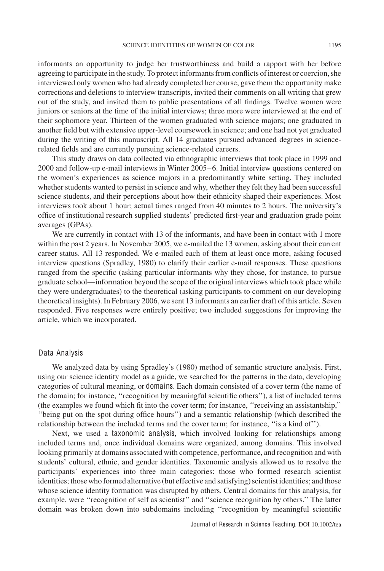informants an opportunity to judge her trustworthiness and build a rapport with her before agreeing to participate in the study. To protect informants from conflicts of interest or coercion, she interviewed only women who had already completed her course, gave them the opportunity make corrections and deletions to interview transcripts, invited their comments on all writing that grew out of the study, and invited them to public presentations of all findings. Twelve women were juniors or seniors at the time of the initial interviews; three more were interviewed at the end of their sophomore year. Thirteen of the women graduated with science majors; one graduated in another field but with extensive upper-level coursework in science; and one had not yet graduated during the writing of this manuscript. All 14 graduates pursued advanced degrees in sciencerelated fields and are currently pursuing science-related careers.

This study draws on data collected via ethnographic interviews that took place in 1999 and 2000 and follow-up e-mail interviews in Winter 2005–6. Initial interview questions centered on the women's experiences as science majors in a predominantly white setting. They included whether students wanted to persist in science and why, whether they felt they had been successful science students, and their perceptions about how their ethnicity shaped their experiences. Most interviews took about 1 hour; actual times ranged from 40 minutes to 2 hours. The university's office of institutional research supplied students' predicted first-year and graduation grade point averages (GPAs).

We are currently in contact with 13 of the informants, and have been in contact with 1 more within the past 2 years. In November 2005, we e-mailed the 13 women, asking about their current career status. All 13 responded. We e-mailed each of them at least once more, asking focused interview questions (Spradley, 1980) to clarify their earlier e-mail responses. These questions ranged from the specific (asking particular informants why they chose, for instance, to pursue graduate school—information beyond the scope of the original interviews which took place while they were undergraduates) to the theoretical (asking participants to comment on our developing theoretical insights). In February 2006, we sent 13 informants an earlier draft of this article. Seven responded. Five responses were entirely positive; two included suggestions for improving the article, which we incorporated.

## Data Analysis

We analyzed data by using Spradley's (1980) method of semantic structure analysis. First, using our science identity model as a guide, we searched for the patterns in the data, developing categories of cultural meaning, or domains. Each domain consisted of a cover term (the name of the domain; for instance, ''recognition by meaningful scientific others''), a list of included terms (the examples we found which fit into the cover term; for instance, ''receiving an assistantship,'' ''being put on the spot during office hours'') and a semantic relationship (which described the relationship between the included terms and the cover term; for instance, ''is a kind of'').

Next, we used a taxonomic analysis, which involved looking for relationships among included terms and, once individual domains were organized, among domains. This involved looking primarily at domains associated with competence, performance, and recognition and with students' cultural, ethnic, and gender identities. Taxonomic analysis allowed us to resolve the participants' experiences into three main categories: those who formed research scientist identities; those who formed alternative (but effective and satisfying) scientist identities; and those whose science identity formation was disrupted by others. Central domains for this analysis, for example, were ''recognition of self as scientist'' and ''science recognition by others.'' The latter domain was broken down into subdomains including ''recognition by meaningful scientific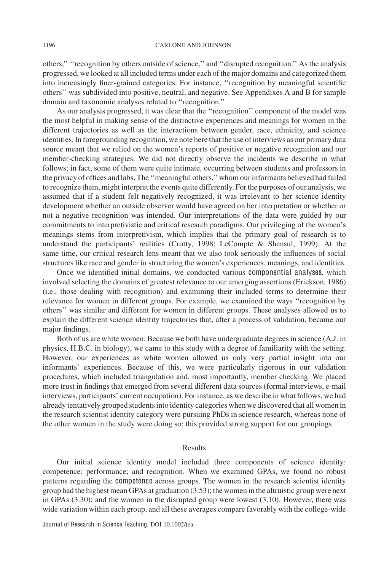others,'' ''recognition by others outside of science,'' and ''disrupted recognition.'' As the analysis progressed, we looked at all included terms under each of the major domains and categorized them into increasingly finer-grained categories. For instance, ''recognition by meaningful scientific others'' was subdivided into positive, neutral, and negative. See Appendixes A and B for sample domain and taxonomic analyses related to ''recognition.''

As our analysis progressed, it was clear that the ''recognition'' component of the model was the most helpful in making sense of the distinctive experiences and meanings for women in the different trajectories as well as the interactions between gender, race, ethnicity, and science identities. In foregrounding recognition, we note here that the use of interviews as our primary data source meant that we relied on the women's reports of positive or negative recognition and our member-checking strategies. We did not directly observe the incidents we describe in what follows; in fact, some of them were quite intimate, occurring between students and professors in the privacy of offices and labs. The ''meaningful others,'' whom our informants believed had failed to recognize them, might interpret the events quite differently. For the purposes of our analysis, we assumed that if a student felt negatively recognized, it was irrelevant to her science identity development whether an outside observer would have agreed on her interpretation or whether or not a negative recognition was intended. Our interpretations of the data were guided by our commitments to interpretivistic and critical research paradigms. Our privileging of the women's meanings stems from interpretivism, which implies that the primary goal of research is to understand the participants' realities (Crotty, 1998; LeCompte & Shensul, 1999). At the same time, our critical research lens meant that we also took seriously the influences of social structures like race and gender in structuring the women's experiences, meanings, and identities.

Once we identified initial domains, we conducted various componential analyses, which involved selecting the domains of greatest relevance to our emerging assertions (Erickson, 1986) (i.e., those dealing with recognition) and examining their included terms to determine their relevance for women in different groups. For example, we examined the ways ''recognition by others'' was similar and different for women in different groups. These analyses allowed us to explain the different science identity trajectories that, after a process of validation, became our major findings.

Both of us are white women. Because we both have undergraduate degrees in science (A.J. in physics, H.B.C. in biology), we came to this study with a degree of familiarity with the setting. However, our experiences as white women allowed us only very partial insight into our informants' experiences. Because of this, we were particularly rigorous in our validation procedures, which included triangulation and, most importantly, member checking. We placed more trust in findings that emerged from several different data sources (formal interviews, e-mail interviews, participants' current occupation). For instance, as we describe in what follows, we had already tentatively grouped students into identity categories when we discovered that all women in the research scientist identity category were pursuing PhDs in science research, whereas none of the other women in the study were doing so; this provided strong support for our groupings.

## Results

Our initial science identity model included three components of science identity: competence; performance; and recognition. When we examined GPAs, we found no robust patterns regarding the competence across groups. The women in the research scientist identity group had the highest mean GPAs at graduation (3.53); the women in the altruistic group were next in GPAs (3.30); and the women in the disrupted group were lowest (3.10). However, there was wide variation within each group, and all these averages compare favorably with the college-wide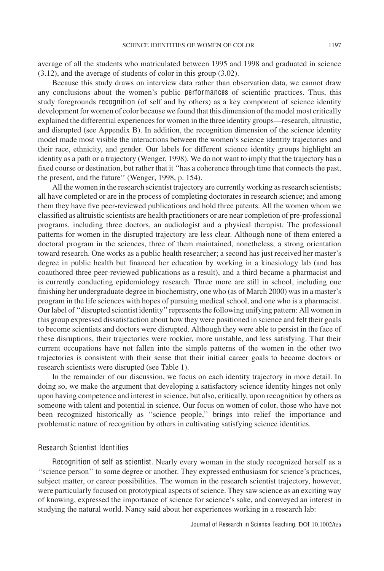average of all the students who matriculated between 1995 and 1998 and graduated in science (3.12), and the average of students of color in this group (3.02).

Because this study draws on interview data rather than observation data, we cannot draw any conclusions about the women's public performances of scientific practices. Thus, this study foregrounds recognition (of self and by others) as a key component of science identity development for women of color because we found that this dimension of the model most critically explained the differential experiences for women in the three identity groups—research, altruistic, and disrupted (see Appendix B). In addition, the recognition dimension of the science identity model made most visible the interactions between the women's science identity trajectories and their race, ethnicity, and gender. Our labels for different science identity groups highlight an identity as a path or a trajectory (Wenger, 1998). We do not want to imply that the trajectory has a fixed course or destination, but rather that it ''has a coherence through time that connects the past, the present, and the future'' (Wenger, 1998, p. 154).

All the women in the research scientist trajectory are currently working as research scientists; all have completed or are in the process of completing doctorates in research science; and among them they have five peer-reviewed publications and hold three patents. All the women whom we classified as altruistic scientists are health practitioners or are near completion of pre-professional programs, including three doctors, an audiologist and a physical therapist. The professional patterns for women in the disrupted trajectory are less clear. Although none of them entered a doctoral program in the sciences, three of them maintained, nonetheless, a strong orientation toward research. One works as a public health researcher; a second has just received her master's degree in public health but financed her education by working in a kinesiology lab (and has coauthored three peer-reviewed publications as a result), and a third became a pharmacist and is currently conducting epidemiology research. Three more are still in school, including one finishing her undergraduate degree in biochemistry, one who (as of March 2000) was in a master's program in the life sciences with hopes of pursuing medical school, and one who is a pharmacist. Our label of ''disrupted scientist identity'' represents the following unifying pattern: All women in this group expressed dissatisfaction about how they were positioned in science and felt their goals to become scientists and doctors were disrupted. Although they were able to persist in the face of these disruptions, their trajectories were rockier, more unstable, and less satisfying. That their current occupations have not fallen into the simple patterns of the women in the other two trajectories is consistent with their sense that their initial career goals to become doctors or research scientists were disrupted (see Table 1).

In the remainder of our discussion, we focus on each identity trajectory in more detail. In doing so, we make the argument that developing a satisfactory science identity hinges not only upon having competence and interest in science, but also, critically, upon recognition by others as someone with talent and potential in science. Our focus on women of color, those who have not been recognized historically as ''science people,'' brings into relief the importance and problematic nature of recognition by others in cultivating satisfying science identities.

## Research Scientist Identities

Recognition of self as scientist. Nearly every woman in the study recognized herself as a ''science person'' to some degree or another. They expressed enthusiasm for science's practices, subject matter, or career possibilities. The women in the research scientist trajectory, however, were particularly focused on prototypical aspects of science. They saw science as an exciting way of knowing, expressed the importance of science for science's sake, and conveyed an interest in studying the natural world. Nancy said about her experiences working in a research lab: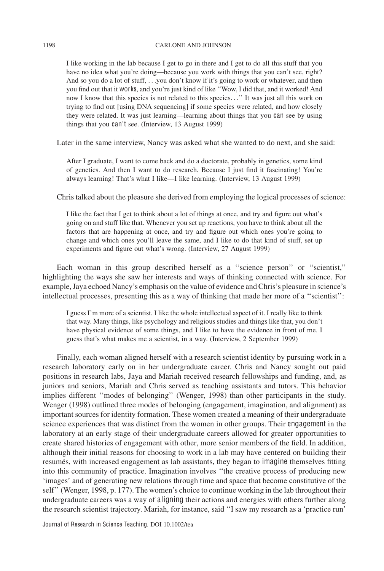I like working in the lab because I get to go in there and I get to do all this stuff that you have no idea what you're doing—because you work with things that you can't see, right? And so you do a lot of stuff, . . .you don't know if it's going to work or whatever, and then you find out that it works, and you're just kind of like ''Wow, I did that, and it worked! And now I know that this species is not related to this species. . .'' It was just all this work on trying to find out [using DNA sequencing] if some species were related, and how closely they were related. It was just learning—learning about things that you can see by using things that you can't see. (Interview, 13 August 1999)

Later in the same interview, Nancy was asked what she wanted to do next, and she said:

After I graduate, I want to come back and do a doctorate, probably in genetics, some kind of genetics. And then I want to do research. Because I just find it fascinating! You're always learning! That's what I like—I like learning. (Interview, 13 August 1999)

Chris talked about the pleasure she derived from employing the logical processes of science:

I like the fact that I get to think about a lot of things at once, and try and figure out what's going on and stuff like that. Whenever you set up reactions, you have to think about all the factors that are happening at once, and try and figure out which ones you're going to change and which ones you'll leave the same, and I like to do that kind of stuff, set up experiments and figure out what's wrong. (Interview, 27 August 1999)

Each woman in this group described herself as a ''science person'' or ''scientist,'' highlighting the ways she saw her interests and ways of thinking connected with science. For example, Jaya echoed Nancy's emphasis on the value of evidence and Chris's pleasure in science's intellectual processes, presenting this as a way of thinking that made her more of a ''scientist'':

I guess I'm more of a scientist. I like the whole intellectual aspect of it. I really like to think that way. Many things, like psychology and religious studies and things like that, you don't have physical evidence of some things, and I like to have the evidence in front of me. I guess that's what makes me a scientist, in a way. (Interview, 2 September 1999)

Finally, each woman aligned herself with a research scientist identity by pursuing work in a research laboratory early on in her undergraduate career. Chris and Nancy sought out paid positions in research labs, Jaya and Mariah received research fellowships and funding, and, as juniors and seniors, Mariah and Chris served as teaching assistants and tutors. This behavior implies different ''modes of belonging'' (Wenger, 1998) than other participants in the study. Wenger (1998) outlined three modes of belonging (engagement, imagination, and alignment) as important sources for identity formation. These women created a meaning of their undergraduate science experiences that was distinct from the women in other groups. Their engagement in the laboratory at an early stage of their undergraduate careers allowed for greater opportunities to create shared histories of engagement with other, more senior members of the field. In addition, although their initial reasons for choosing to work in a lab may have centered on building their resumés, with increased engagement as lab assistants, they began to imagine themselves fitting into this community of practice. Imagination involves ''the creative process of producing new 'images' and of generating new relations through time and space that become constitutive of the self'' (Wenger, 1998, p. 177). The women's choice to continue working in the lab throughout their undergraduate careers was a way of aligning their actions and energies with others further along the research scientist trajectory. Mariah, for instance, said ''I saw my research as a 'practice run'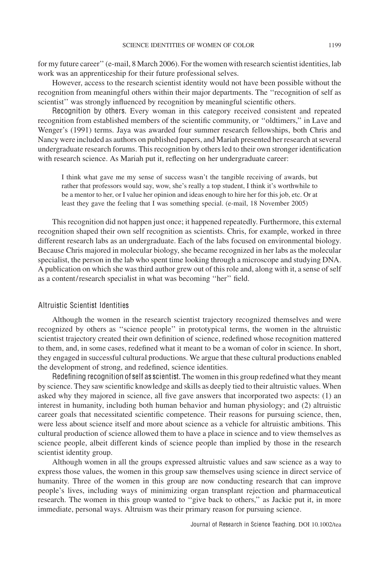for my future career'' (e-mail, 8 March 2006). For the women with research scientist identities, lab work was an apprenticeship for their future professional selves.

However, access to the research scientist identity would not have been possible without the recognition from meaningful others within their major departments. The ''recognition of self as scientist" was strongly influenced by recognition by meaningful scientific others.

Recognition by others. Every woman in this category received consistent and repeated recognition from established members of the scientific community, or ''oldtimers,'' in Lave and Wenger's (1991) terms. Jaya was awarded four summer research fellowships, both Chris and Nancy were included as authors on published papers, and Mariah presented her research at several undergraduate research forums. This recognition by others led to their own stronger identification with research science. As Mariah put it, reflecting on her undergraduate career:

I think what gave me my sense of success wasn't the tangible receiving of awards, but rather that professors would say, wow, she's really a top student, I think it's worthwhile to be a mentor to her, or I value her opinion and ideas enough to hire her for this job, etc. Or at least they gave the feeling that I was something special. (e-mail, 18 November 2005)

This recognition did not happen just once; it happened repeatedly. Furthermore, this external recognition shaped their own self recognition as scientists. Chris, for example, worked in three different research labs as an undergraduate. Each of the labs focused on environmental biology. Because Chris majored in molecular biology, she became recognized in her labs as the molecular specialist, the person in the lab who spent time looking through a microscope and studying DNA. A publication on which she was third author grew out of this role and, along with it, a sense of self as a content/research specialist in what was becoming ''her'' field.

#### Altruistic Scientist Identities

Although the women in the research scientist trajectory recognized themselves and were recognized by others as ''science people'' in prototypical terms, the women in the altruistic scientist trajectory created their own definition of science, redefined whose recognition mattered to them, and, in some cases, redefined what it meant to be a woman of color in science. In short, they engaged in successful cultural productions. We argue that these cultural productions enabled the development of strong, and redefined, science identities.

Redefining recognition ofself asscientist. The women in this group redefined what they meant by science. They saw scientific knowledge and skills as deeply tied to their altruistic values. When asked why they majored in science, all five gave answers that incorporated two aspects: (1) an interest in humanity, including both human behavior and human physiology; and (2) altruistic career goals that necessitated scientific competence. Their reasons for pursuing science, then, were less about science itself and more about science as a vehicle for altruistic ambitions. This cultural production of science allowed them to have a place in science and to view themselves as science people, albeit different kinds of science people than implied by those in the research scientist identity group.

Although women in all the groups expressed altruistic values and saw science as a way to express those values, the women in this group saw themselves using science in direct service of humanity. Three of the women in this group are now conducting research that can improve people's lives, including ways of minimizing organ transplant rejection and pharmaceutical research. The women in this group wanted to ''give back to others,'' as Jackie put it, in more immediate, personal ways. Altruism was their primary reason for pursuing science.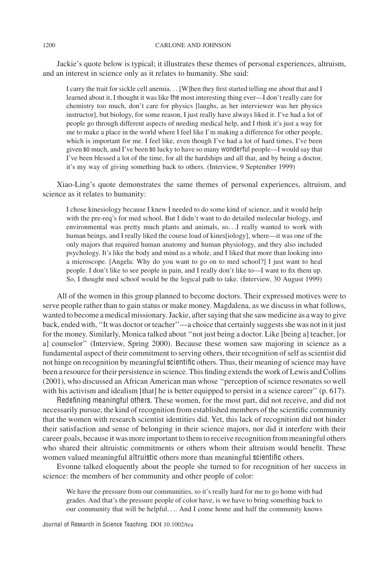#### 1200 CARLONE AND JOHNSON

Jackie's quote below is typical; it illustrates these themes of personal experiences, altruism, and an interest in science only as it relates to humanity. She said:

I carry the trait for sickle cell anemia. . . [W]hen they first started telling me about that and I learned about it, I thought it was like the most interesting thing ever—I don't really care for chemistry too much, don't care for physics [laughs, as her interviewer was her physics instructor], but biology, for some reason, I just really have always liked it. I've had a lot of people go through different aspects of needing medical help, and I think it's just a way for me to make a place in the world where I feel like I'm making a difference for other people, which is important for me. I feel like, even though I've had a lot of hard times, I've been given so much, and I've been so lucky to have so many wonderful people—I would say that I've been blessed a lot of the time, for all the hardships and all that, and by being a doctor, it's my way of giving something back to others. (Interview, 9 September 1999)

Xiao-Ling's quote demonstrates the same themes of personal experiences, altruism, and science as it relates to humanity:

I chose kinesiology because I knew I needed to do some kind of science, and it would help with the pre-req's for med school. But I didn't want to do detailed molecular biology, and environmental was pretty much plants and animals, so. . .I really wanted to work with human beings, and I really liked the course load of kines[iology], where—it was one of the only majors that required human anatomy and human physiology, and they also included psychology. It's like the body and mind as a whole, and I liked that more than looking into a microscope. [Angela: Why do you want to go on to med school?] I just want to heal people. I don't like to see people in pain, and I really don't like to—I want to fix them up. So, I thought med school would be the logical path to take. (Interview, 30 August 1999)

All of the women in this group planned to become doctors. Their expressed motives were to serve people rather than to gain status or make money. Magdalena, as we discuss in what follows, wanted to become a medical missionary. Jackie, after saying that she saw medicine as a way to give back, ended with, ''It was doctor or teacher''—a choice that certainly suggests she was not in it just for the money. Similarly, Monica talked about ''not just being a doctor. Like [being a] teacher, [or a] counselor'' (Interview, Spring 2000). Because these women saw majoring in science as a fundamental aspect of their commitment to serving others, their recognition of self as scientist did not hinge on recognition by meaningful scientific others. Thus, their meaning of science may have been a resource for their persistence in science. This finding extends the work of Lewis and Collins (2001), who discussed an African American man whose ''perception of science resonates so well with his activism and idealism [that] he is better equipped to persist in a science career'' (p. 617).

Redefining meaningful others. These women, for the most part, did not receive, and did not necessarily pursue, the kind of recognition from established members of the scientific community that the women with research scientist identities did. Yet, this lack of recognition did not hinder their satisfaction and sense of belonging in their science majors, nor did it interfere with their career goals, because it was more important to them to receive recognition from meaningful others who shared their altruistic commitments or others whom their altruism would benefit. These women valued meaningful altruistic others more than meaningful scientific others.

Evonne talked eloquently about the people she turned to for recognition of her success in science: the members of her community and other people of color:

We have the pressure from our communities, so it's really hard for me to go home with bad grades. And that's the pressure people of color have, is we have to bring something back to our community that will be helpful. . .. And I come home and half the community knows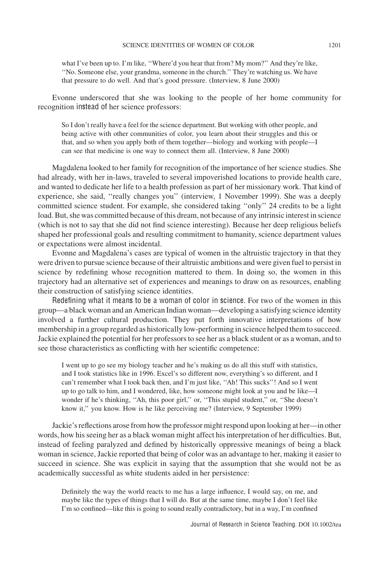what I've been up to. I'm like, "Where'd you hear that from? My mom?" And they're like, ''No. Someone else, your grandma, someone in the church.'' They're watching us. We have that pressure to do well. And that's good pressure. (Interview, 8 June 2000)

Evonne underscored that she was looking to the people of her home community for recognition instead of her science professors:

So I don't really have a feel for the science department. But working with other people, and being active with other communities of color, you learn about their struggles and this or that, and so when you apply both of them together—biology and working with people—I can see that medicine is one way to connect them all. (Interview, 8 June 2000)

Magdalena looked to her family for recognition of the importance of her science studies. She had already, with her in-laws, traveled to several impoverished locations to provide health care, and wanted to dedicate her life to a health profession as part of her missionary work. That kind of experience, she said, ''really changes you'' (interview, 1 November 1999). She was a deeply committed science student. For example, she considered taking ''only'' 24 credits to be a light load. But, she was committed because of this dream, not because of any intrinsic interest in science (which is not to say that she did not find science interesting). Because her deep religious beliefs shaped her professional goals and resulting commitment to humanity, science department values or expectations were almost incidental.

Evonne and Magdalena's cases are typical of women in the altruistic trajectory in that they were driven to pursue science because of their altruistic ambitions and were given fuel to persist in science by redefining whose recognition mattered to them. In doing so, the women in this trajectory had an alternative set of experiences and meanings to draw on as resources, enabling their construction of satisfying science identities.

Redefining what it means to be a woman of color in science. For two of the women in this group—a black woman and an American Indian woman—developing a satisfying science identity involved a further cultural production. They put forth innovative interpretations of how membership in a group regarded as historically low-performing in science helped them to succeed. Jackie explained the potential for her professors to see her as a black student or as a woman, and to see those characteristics as conflicting with her scientific competence:

I went up to go see my biology teacher and he's making us do all this stuff with statistics, and I took statistics like in 1996. Excel's so different now, everything's so different, and I can't remember what I took back then, and I'm just like, ''Ah! This sucks''! And so I went up to go talk to him, and I wondered, like, how someone might look at you and be like—I wonder if he's thinking, ''Ah, this poor girl,'' or, ''This stupid student,'' or, ''She doesn't know it,'' you know. How is he like perceiving me? (Interview, 9 September 1999)

Jackie's reflections arose from how the professor might respond upon looking at her—in other words, how his seeing her as a black woman might affect his interpretation of her difficulties. But, instead of feeling paralyzed and defined by historically oppressive meanings of being a black woman in science, Jackie reported that being of color was an advantage to her, making it easier to succeed in science. She was explicit in saying that the assumption that she would not be as academically successful as white students aided in her persistence:

Definitely the way the world reacts to me has a large influence, I would say, on me, and maybe like the types of things that I will do. But at the same time, maybe I don't feel like I'm so confined—like this is going to sound really contradictory, but in a way, I'm confined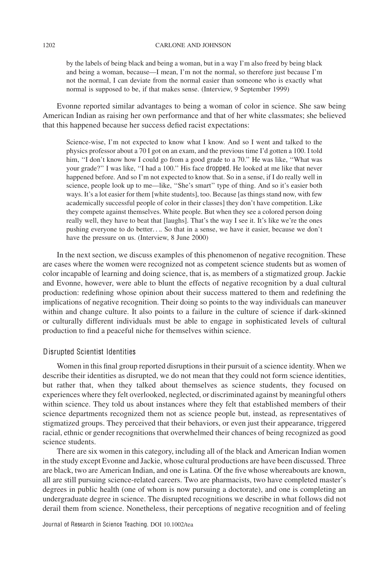#### 1202 CARLONE AND JOHNSON

by the labels of being black and being a woman, but in a way I'm also freed by being black and being a woman, because—I mean, I'm not the normal, so therefore just because I'm not the normal, I can deviate from the normal easier than someone who is exactly what normal is supposed to be, if that makes sense. (Interview, 9 September 1999)

Evonne reported similar advantages to being a woman of color in science. She saw being American Indian as raising her own performance and that of her white classmates; she believed that this happened because her success defied racist expectations:

Science-wise, I'm not expected to know what I know. And so I went and talked to the physics professor about a 70 I got on an exam, and the previous time I'd gotten a 100. I told him, "I don't know how I could go from a good grade to a 70." He was like, "What was your grade?'' I was like, ''I had a 100.'' His face dropped. He looked at me like that never happened before. And so I'm not expected to know that. So in a sense, if I do really well in science, people look up to me—like, ''She's smart'' type of thing. And so it's easier both ways. It's a lot easier for them [white students], too. Because [as things stand now, with few academically successful people of color in their classes] they don't have competition. Like they compete against themselves. White people. But when they see a colored person doing really well, they have to beat that [laughs]. That's the way I see it. It's like we're the ones pushing everyone to do better. . .. So that in a sense, we have it easier, because we don't have the pressure on us. (Interview, 8 June 2000)

In the next section, we discuss examples of this phenomenon of negative recognition. These are cases where the women were recognized not as competent science students but as women of color incapable of learning and doing science, that is, as members of a stigmatized group. Jackie and Evonne, however, were able to blunt the effects of negative recognition by a dual cultural production: redefining whose opinion about their success mattered to them and redefining the implications of negative recognition. Their doing so points to the way individuals can maneuver within and change culture. It also points to a failure in the culture of science if dark-skinned or culturally different individuals must be able to engage in sophisticated levels of cultural production to find a peaceful niche for themselves within science.

## Disrupted Scientist Identities

Women in this final group reported disruptions in their pursuit of a science identity. When we describe their identities as disrupted, we do not mean that they could not form science identities, but rather that, when they talked about themselves as science students, they focused on experiences where they felt overlooked, neglected, or discriminated against by meaningful others within science. They told us about instances where they felt that established members of their science departments recognized them not as science people but, instead, as representatives of stigmatized groups. They perceived that their behaviors, or even just their appearance, triggered racial, ethnic or gender recognitions that overwhelmed their chances of being recognized as good science students.

There are six women in this category, including all of the black and American Indian women in the study except Evonne and Jackie, whose cultural productions are have been discussed. Three are black, two are American Indian, and one is Latina. Of the five whose whereabouts are known, all are still pursuing science-related careers. Two are pharmacists, two have completed master's degrees in public health (one of whom is now pursuing a doctorate), and one is completing an undergraduate degree in science. The disrupted recognitions we describe in what follows did not derail them from science. Nonetheless, their perceptions of negative recognition and of feeling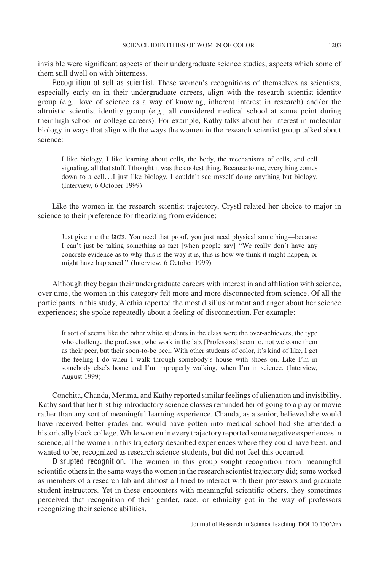invisible were significant aspects of their undergraduate science studies, aspects which some of them still dwell on with bitterness.

Recognition of self as scientist. These women's recognitions of themselves as scientists, especially early on in their undergraduate careers, align with the research scientist identity group (e.g., love of science as a way of knowing, inherent interest in research) and/or the altruistic scientist identity group (e.g., all considered medical school at some point during their high school or college careers). For example, Kathy talks about her interest in molecular biology in ways that align with the ways the women in the research scientist group talked about science:

I like biology, I like learning about cells, the body, the mechanisms of cells, and cell signaling, all that stuff. I thought it was the coolest thing. Because to me, everything comes down to a cell. . .I just like biology. I couldn't see myself doing anything but biology. (Interview, 6 October 1999)

Like the women in the research scientist trajectory, Crystl related her choice to major in science to their preference for theorizing from evidence:

Just give me the facts. You need that proof, you just need physical something—because I can't just be taking something as fact [when people say] ''We really don't have any concrete evidence as to why this is the way it is, this is how we think it might happen, or might have happened.'' (Interview, 6 October 1999)

Although they began their undergraduate careers with interest in and affiliation with science, over time, the women in this category felt more and more disconnected from science. Of all the participants in this study, Alethia reported the most disillusionment and anger about her science experiences; she spoke repeatedly about a feeling of disconnection. For example:

It sort of seems like the other white students in the class were the over-achievers, the type who challenge the professor, who work in the lab. [Professors] seem to, not welcome them as their peer, but their soon-to-be peer. With other students of color, it's kind of like, I get the feeling I do when I walk through somebody's house with shoes on. Like I'm in somebody else's home and I'm improperly walking, when I'm in science. (Interview, August 1999)

Conchita, Chanda, Merima, and Kathy reported similar feelings of alienation and invisibility. Kathy said that her first big introductory science classes reminded her of going to a play or movie rather than any sort of meaningful learning experience. Chanda, as a senior, believed she would have received better grades and would have gotten into medical school had she attended a historically black college. While women in every trajectory reported some negative experiences in science, all the women in this trajectory described experiences where they could have been, and wanted to be, recognized as research science students, but did not feel this occurred.

Disrupted recognition. The women in this group sought recognition from meaningful scientific others in the same ways the women in the research scientist trajectory did; some worked as members of a research lab and almost all tried to interact with their professors and graduate student instructors. Yet in these encounters with meaningful scientific others, they sometimes perceived that recognition of their gender, race, or ethnicity got in the way of professors recognizing their science abilities.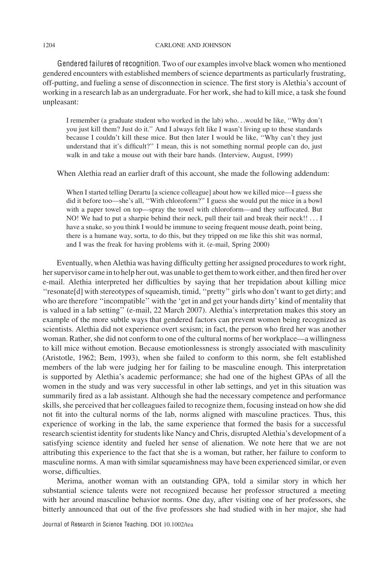#### 1204 CARLONE AND JOHNSON

Gendered failures of recognition. Two of our examples involve black women who mentioned gendered encounters with established members of science departments as particularly frustrating, off-putting, and fueling a sense of disconnection in science. The first story is Alethia's account of working in a research lab as an undergraduate. For her work, she had to kill mice, a task she found unpleasant:

I remember (a graduate student who worked in the lab) who. . .would be like, ''Why don't you just kill them? Just do it.'' And I always felt like I wasn't living up to these standards because I couldn't kill these mice. But then later I would be like, ''Why can't they just understand that it's difficult?'' I mean, this is not something normal people can do, just walk in and take a mouse out with their bare hands. (Interview, August, 1999)

When Alethia read an earlier draft of this account, she made the following addendum:

When I started telling Derartu [a science colleague] about how we killed mice—I guess she did it before too—she's all, ''With chloroform?'' I guess she would put the mice in a bowl with a paper towel on top—spray the towel with chloroform—and they suffocated. But NO! We had to put a sharpie behind their neck, pull their tail and break their neck!! . . . I have a snake, so you think I would be immune to seeing frequent mouse death, point being, there is a humane way, sorta, to do this, but they tripped on me like this shit was normal, and I was the freak for having problems with it. (e-mail, Spring 2000)

Eventually, when Alethia was having difficulty getting her assigned procedures to work right, her supervisor came in to help her out, was unable to get them to work either, and then fired her over e-mail. Alethia interpreted her difficulties by saying that her trepidation about killing mice ''resonate[d] with stereotypes of squeamish, timid, ''pretty'' girls who don't want to get dirty; and who are therefore ''incompatible'' with the 'get in and get your hands dirty' kind of mentality that is valued in a lab setting'' (e-mail, 22 March 2007). Alethia's interpretation makes this story an example of the more subtle ways that gendered factors can prevent women being recognized as scientists. Alethia did not experience overt sexism; in fact, the person who fired her was another woman. Rather, she did not conform to one of the cultural norms of her workplace—a willingness to kill mice without emotion. Because emotionlessness is strongly associated with masculinity (Aristotle, 1962; Bem, 1993), when she failed to conform to this norm, she felt established members of the lab were judging her for failing to be masculine enough. This interpretation is supported by Alethia's academic performance; she had one of the highest GPAs of all the women in the study and was very successful in other lab settings, and yet in this situation was summarily fired as a lab assistant. Although she had the necessary competence and performance skills, she perceived that her colleagues failed to recognize them, focusing instead on how she did not fit into the cultural norms of the lab, norms aligned with masculine practices. Thus, this experience of working in the lab, the same experience that formed the basis for a successful research scientist identity for students like Nancy and Chris, disrupted Alethia's development of a satisfying science identity and fueled her sense of alienation. We note here that we are not attributing this experience to the fact that she is a woman, but rather, her failure to conform to masculine norms. A man with similar squeamishness may have been experienced similar, or even worse, difficulties.

Merima, another woman with an outstanding GPA, told a similar story in which her substantial science talents were not recognized because her professor structured a meeting with her around masculine behavior norms. One day, after visiting one of her professors, she bitterly announced that out of the five professors she had studied with in her major, she had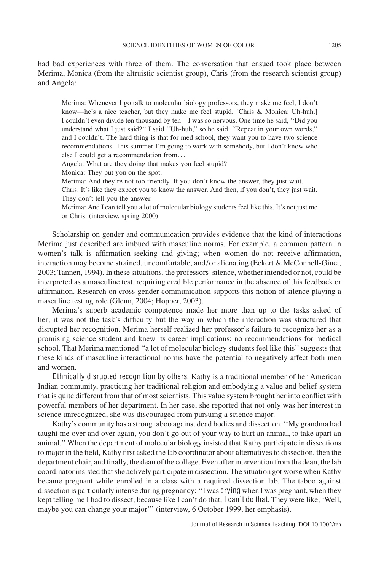had bad experiences with three of them. The conversation that ensued took place between Merima, Monica (from the altruistic scientist group), Chris (from the research scientist group) and Angela:

Merima: Whenever I go talk to molecular biology professors, they make me feel, I don't know—he's a nice teacher, but they make me feel stupid. [Chris & Monica: Uh-huh.] I couldn't even divide ten thousand by ten—I was so nervous. One time he said, ''Did you understand what I just said?'' I said ''Uh-huh,'' so he said, ''Repeat in your own words,'' and I couldn't. The hard thing is that for med school, they want you to have two science recommendations. This summer I'm going to work with somebody, but I don't know who else I could get a recommendation from. . .

Angela: What are they doing that makes you feel stupid?

Monica: They put you on the spot.

Merima: And they're not too friendly. If you don't know the answer, they just wait.

Chris: It's like they expect you to know the answer. And then, if you don't, they just wait. They don't tell you the answer.

Merima: And I can tell you a lot of molecular biology students feel like this. It's not just me or Chris. (interview, spring 2000)

Scholarship on gender and communication provides evidence that the kind of interactions Merima just described are imbued with masculine norms. For example, a common pattern in women's talk is affirmation-seeking and giving; when women do not receive affirmation, interaction may become strained, uncomfortable, and/or alienating (Eckert & McConnell-Ginet, 2003; Tannen, 1994). In these situations, the professors' silence, whether intended or not, could be interpreted as a masculine test, requiring credible performance in the absence of this feedback or affirmation. Research on cross-gender communication supports this notion of silence playing a masculine testing role (Glenn, 2004; Hopper, 2003).

Merima's superb academic competence made her more than up to the tasks asked of her; it was not the task's difficulty but the way in which the interaction was structured that disrupted her recognition. Merima herself realized her professor's failure to recognize her as a promising science student and knew its career implications: no recommendations for medical school. That Merima mentioned ''a lot of molecular biology students feel like this'' suggests that these kinds of masculine interactional norms have the potential to negatively affect both men and women.

Ethnically disrupted recognition by others. Kathy is a traditional member of her American Indian community, practicing her traditional religion and embodying a value and belief system that is quite different from that of most scientists. This value system brought her into conflict with powerful members of her department. In her case, she reported that not only was her interest in science unrecognized, she was discouraged from pursuing a science major.

Kathy's community has a strong taboo against dead bodies and dissection. ''My grandma had taught me over and over again, you don't go out of your way to hurt an animal, to take apart an animal.'' When the department of molecular biology insisted that Kathy participate in dissections to major in the field, Kathy first asked the lab coordinator about alternatives to dissection, then the department chair, and finally, the dean of the college. Even after intervention from the dean, the lab coordinator insisted that she actively participate in dissection. The situation got worse when Kathy became pregnant while enrolled in a class with a required dissection lab. The taboo against dissection is particularly intense during pregnancy: ''I was crying when I was pregnant, when they kept telling me I had to dissect, because like I can't do that, I can't do that. They were like, 'Well, maybe you can change your major''' (interview, 6 October 1999, her emphasis).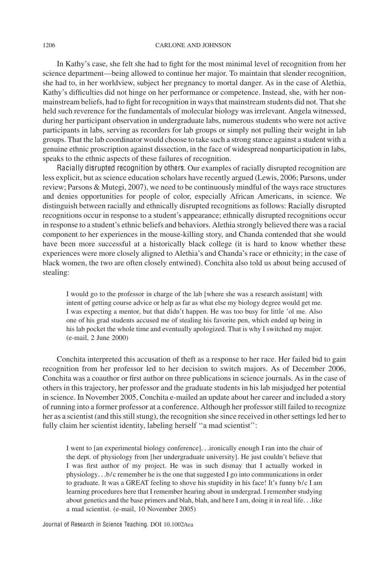In Kathy's case, she felt she had to fight for the most minimal level of recognition from her science department—being allowed to continue her major. To maintain that slender recognition, she had to, in her worldview, subject her pregnancy to mortal danger. As in the case of Alethia, Kathy's difficulties did not hinge on her performance or competence. Instead, she, with her nonmainstream beliefs, had to fight for recognition in ways that mainstream students did not. That she held such reverence for the fundamentals of molecular biology was irrelevant. Angela witnessed, during her participant observation in undergraduate labs, numerous students who were not active participants in labs, serving as recorders for lab groups or simply not pulling their weight in lab groups. That the lab coordinator would choose to take such a strong stance against a student with a genuine ethnic proscription against dissection, in the face of widespread nonparticipation in labs, speaks to the ethnic aspects of these failures of recognition.

Racially disrupted recognition by others. Our examples of racially disrupted recognition are less explicit, but as science education scholars have recently argued (Lewis, 2006; Parsons, under review; Parsons & Mutegi, 2007), we need to be continuously mindful of the ways race structures and denies opportunities for people of color, especially African Americans, in science. We distinguish between racially and ethnically disrupted recognitions as follows: Racially disrupted recognitions occur in response to a student's appearance; ethnically disrupted recognitions occur in response to a student's ethnic beliefs and behaviors. Alethia strongly believed there was a racial component to her experiences in the mouse-killing story, and Chanda contended that she would have been more successful at a historically black college (it is hard to know whether these experiences were more closely aligned to Alethia's and Chanda's race or ethnicity; in the case of black women, the two are often closely entwined). Conchita also told us about being accused of stealing:

I would go to the professor in charge of the lab [where she was a research assistant] with intent of getting course advice or help as far as what else my biology degree would get me. I was expecting a mentor, but that didn't happen. He was too busy for little 'ol me. Also one of his grad students accused me of stealing his favorite pen, which ended up being in his lab pocket the whole time and eventually apologized. That is why I switched my major. (e-mail, 2 June 2000)

Conchita interpreted this accusation of theft as a response to her race. Her failed bid to gain recognition from her professor led to her decision to switch majors. As of December 2006, Conchita was a coauthor or first author on three publications in science journals. As in the case of others in this trajectory, her professor and the graduate students in his lab misjudged her potential in science. In November 2005, Conchita e-mailed an update about her career and included a story of running into a former professor at a conference. Although her professor still failed to recognize her as a scientist (and this still stung), the recognition she since received in other settings led her to fully claim her scientist identity, labeling herself ''a mad scientist'':

I went to [an experimental biology conference]. . .ironically enough I ran into the chair of the dept. of physiology from [her undergraduate university]. He just couldn't believe that I was first author of my project. He was in such dismay that I actually worked in physiology. . .b/c remember he is the one that suggested I go into communications in order to graduate. It was a GREAT feeling to shove his stupidity in his face! It's funny b/c I am learning procedures here that I remember hearing about in undergrad. I remember studying about genetics and the base primers and blah, blah, and here I am, doing it in real life. . .like a mad scientist. (e-mail, 10 November 2005)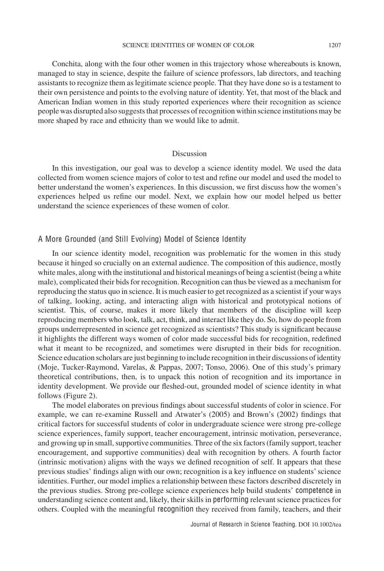Conchita, along with the four other women in this trajectory whose whereabouts is known, managed to stay in science, despite the failure of science professors, lab directors, and teaching assistants to recognize them as legitimate science people. That they have done so is a testament to their own persistence and points to the evolving nature of identity. Yet, that most of the black and American Indian women in this study reported experiences where their recognition as science people was disrupted also suggests that processes of recognition within science institutions may be more shaped by race and ethnicity than we would like to admit.

#### Discussion

In this investigation, our goal was to develop a science identity model. We used the data collected from women science majors of color to test and refine our model and used the model to better understand the women's experiences. In this discussion, we first discuss how the women's experiences helped us refine our model. Next, we explain how our model helped us better understand the science experiences of these women of color.

## A More Grounded (and Still Evolving) Model of Science Identity

In our science identity model, recognition was problematic for the women in this study because it hinged so crucially on an external audience. The composition of this audience, mostly white males, along with the institutional and historical meanings of being a scientist (being a white male), complicated their bids for recognition. Recognition can thus be viewed as a mechanism for reproducing the status quo in science. It is much easier to get recognized as a scientist if your ways of talking, looking, acting, and interacting align with historical and prototypical notions of scientist. This, of course, makes it more likely that members of the discipline will keep reproducing members who look, talk, act, think, and interact like they do. So, how do people from groups underrepresented in science get recognized as scientists? This study is significant because it highlights the different ways women of color made successful bids for recognition, redefined what it meant to be recognized, and sometimes were disrupted in their bids for recognition. Science education scholars are just beginning to include recognition in their discussions of identity (Moje, Tucker-Raymond, Varelas, & Pappas, 2007; Tonso, 2006). One of this study's primary theoretical contributions, then, is to unpack this notion of recognition and its importance in identity development. We provide our fleshed-out, grounded model of science identity in what follows (Figure 2).

The model elaborates on previous findings about successful students of color in science. For example, we can re-examine Russell and Atwater's (2005) and Brown's (2002) findings that critical factors for successful students of color in undergraduate science were strong pre-college science experiences, family support, teacher encouragement, intrinsic motivation, perseverance, and growing up in small, supportive communities. Three of the six factors (family support, teacher encouragement, and supportive communities) deal with recognition by others. A fourth factor (intrinsic motivation) aligns with the ways we defined recognition of self. It appears that these previous studies' findings align with our own; recognition is a key influence on students' science identities. Further, our model implies a relationship between these factors described discretely in the previous studies. Strong pre-college science experiences help build students' competence in understanding science content and, likely, their skills in performing relevant science practices for others. Coupled with the meaningful recognition they received from family, teachers, and their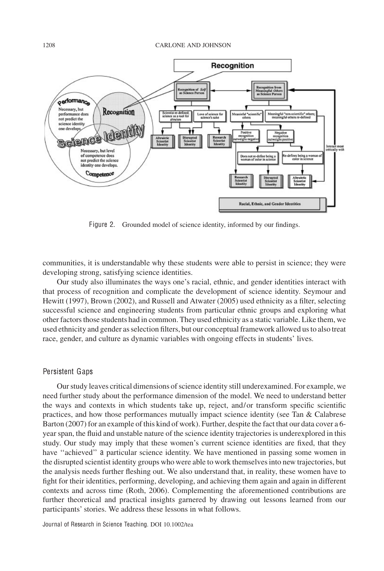

Figure 2. Grounded model of science identity, informed by our findings.

communities, it is understandable why these students were able to persist in science; they were developing strong, satisfying science identities.

Our study also illuminates the ways one's racial, ethnic, and gender identities interact with that process of recognition and complicate the development of science identity. Seymour and Hewitt (1997), Brown (2002), and Russell and Atwater (2005) used ethnicity as a filter, selecting successful science and engineering students from particular ethnic groups and exploring what other factors those students had in common. They used ethnicity as a static variable. Like them, we used ethnicity and gender as selection filters, but our conceptual framework allowed us to also treat race, gender, and culture as dynamic variables with ongoing effects in students' lives.

## Persistent Gaps

Our study leaves critical dimensions of science identity still underexamined. For example, we need further study about the performance dimension of the model. We need to understand better the ways and contexts in which students take up, reject, and/or transform specific scientific practices, and how those performances mutually impact science identity (see Tan & Calabrese Barton (2007) for an example of this kind of work). Further, despite the fact that our data cover a 6 year span, the fluid and unstable nature of the science identity trajectories is underexplored in this study. Our study may imply that these women's current science identities are fixed, that they have "achieved" a particular science identity. We have mentioned in passing some women in the disrupted scientist identity groups who were able to work themselves into new trajectories, but the analysis needs further fleshing out. We also understand that, in reality, these women have to fight for their identities, performing, developing, and achieving them again and again in different contexts and across time (Roth, 2006). Complementing the aforementioned contributions are further theoretical and practical insights garnered by drawing out lessons learned from our participants' stories. We address these lessons in what follows.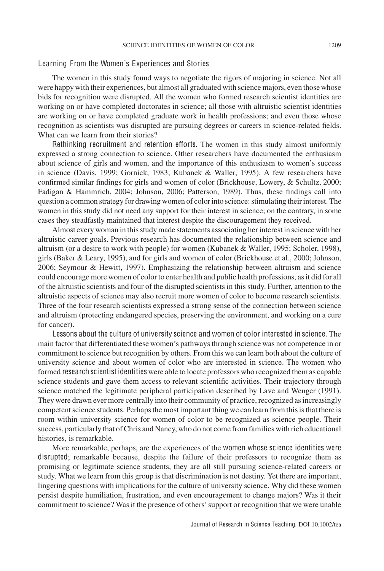#### Learning From the Women's Experiences and Stories

The women in this study found ways to negotiate the rigors of majoring in science. Not all were happy with their experiences, but almost all graduated with science majors, even those whose bids for recognition were disrupted. All the women who formed research scientist identities are working on or have completed doctorates in science; all those with altruistic scientist identities are working on or have completed graduate work in health professions; and even those whose recognition as scientists was disrupted are pursuing degrees or careers in science-related fields. What can we learn from their stories?

Rethinking recruitment and retention efforts. The women in this study almost uniformly expressed a strong connection to science. Other researchers have documented the enthusiasm about science of girls and women, and the importance of this enthusiasm to women's success in science (Davis, 1999; Gornick, 1983; Kubanek & Waller, 1995). A few researchers have confirmed similar findings for girls and women of color (Brickhouse, Lowery, & Schultz, 2000; Fadigan & Hammrich, 2004; Johnson, 2006; Patterson, 1989). Thus, these findings call into question a common strategy for drawing women of color into science: stimulating their interest. The women in this study did not need any support for their interest in science; on the contrary, in some cases they steadfastly maintained that interest despite the discouragement they received.

Almost every woman in this study made statements associating her interest in science with her altruistic career goals. Previous research has documented the relationship between science and altruism (or a desire to work with people) for women (Kubanek & Waller, 1995; Scholer, 1998), girls (Baker & Leary, 1995), and for girls and women of color (Brickhouse et al., 2000; Johnson, 2006; Seymour & Hewitt, 1997). Emphasizing the relationship between altruism and science could encourage more women of color to enter health and public health professions, as it did for all of the altruistic scientists and four of the disrupted scientists in this study. Further, attention to the altruistic aspects of science may also recruit more women of color to become research scientists. Three of the four research scientists expressed a strong sense of the connection between science and altruism (protecting endangered species, preserving the environment, and working on a cure for cancer).

Lessons about the culture of university science and women of color interested in science. The main factor that differentiated these women's pathways through science was not competence in or commitment to science but recognition by others. From this we can learn both about the culture of university science and about women of color who are interested in science. The women who formed research scientist identities were able to locate professors who recognized them as capable science students and gave them access to relevant scientific activities. Their trajectory through science matched the legitimate peripheral participation described by Lave and Wenger (1991). They were drawn ever more centrally into their community of practice, recognized as increasingly competent science students. Perhaps the most important thing we can learn from this is that there is room within university science for women of color to be recognized as science people. Their success, particularly that of Chris and Nancy, who do not come from families with rich educational histories, is remarkable.

More remarkable, perhaps, are the experiences of the women whose science identities were disrupted; remarkable because, despite the failure of their professors to recognize them as promising or legitimate science students, they are all still pursuing science-related careers or study. What we learn from this group is that discrimination is not destiny. Yet there are important, lingering questions with implications for the culture of university science. Why did these women persist despite humiliation, frustration, and even encouragement to change majors? Was it their commitment to science? Was it the presence of others' support or recognition that we were unable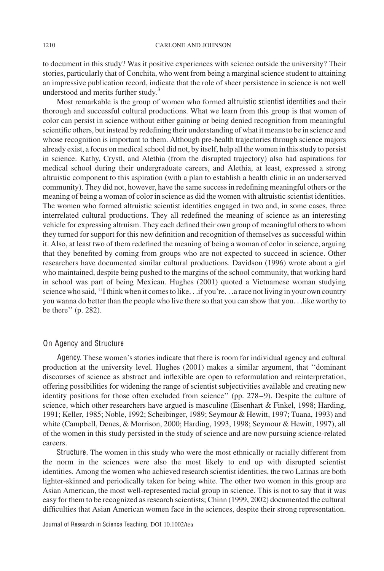to document in this study? Was it positive experiences with science outside the university? Their stories, particularly that of Conchita, who went from being a marginal science student to attaining an impressive publication record, indicate that the role of sheer persistence in science is not well understood and merits further study.<sup>3</sup>

Most remarkable is the group of women who formed altruistic scientist identities and their thorough and successful cultural productions. What we learn from this group is that women of color can persist in science without either gaining or being denied recognition from meaningful scientific others, but instead by redefining their understanding of what it means to be in science and whose recognition is important to them. Although pre-health trajectories through science majors already exist, a focus on medical school did not, by itself, help all the women in this study to persist in science. Kathy, Crystl, and Alethia (from the disrupted trajectory) also had aspirations for medical school during their undergraduate careers, and Alethia, at least, expressed a strong altruistic component to this aspiration (with a plan to establish a health clinic in an underserved community). They did not, however, have the same success in redefining meaningful others or the meaning of being a woman of color in science as did the women with altruistic scientist identities. The women who formed altruistic scientist identities engaged in two and, in some cases, three interrelated cultural productions. They all redefined the meaning of science as an interesting vehicle for expressing altruism. They each defined their own group of meaningful others to whom they turned for support for this new definition and recognition of themselves as successful within it. Also, at least two of them redefined the meaning of being a woman of color in science, arguing that they benefited by coming from groups who are not expected to succeed in science. Other researchers have documented similar cultural productions. Davidson (1996) wrote about a girl who maintained, despite being pushed to the margins of the school community, that working hard in school was part of being Mexican. Hughes (2001) quoted a Vietnamese woman studying science who said, ''I think when it comes to like. . .if you're. . .a race not living in your own country you wanna do better than the people who live there so that you can show that you. . .like worthy to be there'' (p. 282).

## On Agency and Structure

Agency. These women's stories indicate that there is room for individual agency and cultural production at the university level. Hughes (2001) makes a similar argument, that ''dominant discourses of science as abstract and inflexible are open to reformulation and reinterpretation, offering possibilities for widening the range of scientist subjectivities available and creating new identity positions for those often excluded from science'' (pp. 278–9). Despite the culture of science, which other researchers have argued is masculine (Eisenhart  $\&$  Finkel, 1998; Harding, 1991; Keller, 1985; Noble, 1992; Scheibinger, 1989; Seymour & Hewitt, 1997; Tuana, 1993) and white (Campbell, Denes, & Morrison, 2000; Harding, 1993, 1998; Seymour & Hewitt, 1997), all of the women in this study persisted in the study of science and are now pursuing science-related careers.

Structure. The women in this study who were the most ethnically or racially different from the norm in the sciences were also the most likely to end up with disrupted scientist identities. Among the women who achieved research scientist identities, the two Latinas are both lighter-skinned and periodically taken for being white. The other two women in this group are Asian American, the most well-represented racial group in science. This is not to say that it was easy for them to be recognized as research scientists; Chinn (1999, 2002) documented the cultural difficulties that Asian American women face in the sciences, despite their strong representation.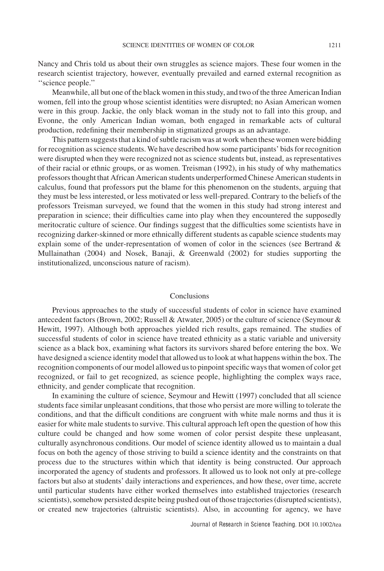Nancy and Chris told us about their own struggles as science majors. These four women in the research scientist trajectory, however, eventually prevailed and earned external recognition as ''science people.''

Meanwhile, all but one of the black women in this study, and two of the three American Indian women, fell into the group whose scientist identities were disrupted; no Asian American women were in this group. Jackie, the only black woman in the study not to fall into this group, and Evonne, the only American Indian woman, both engaged in remarkable acts of cultural production, redefining their membership in stigmatized groups as an advantage.

This pattern suggests that a kind of subtle racism was at work when these women were bidding for recognition as science students.We have described how some participants' bids for recognition were disrupted when they were recognized not as science students but, instead, as representatives of their racial or ethnic groups, or as women. Treisman (1992), in his study of why mathematics professors thought that African American students underperformed Chinese American students in calculus, found that professors put the blame for this phenomenon on the students, arguing that they must be less interested, or less motivated or less well-prepared. Contrary to the beliefs of the professors Treisman surveyed, we found that the women in this study had strong interest and preparation in science; their difficulties came into play when they encountered the supposedly meritocratic culture of science. Our findings suggest that the difficulties some scientists have in recognizing darker-skinned or more ethnically different students as capable science students may explain some of the under-representation of women of color in the sciences (see Bertrand & Mullainathan (2004) and Nosek, Banaji, & Greenwald (2002) for studies supporting the institutionalized, unconscious nature of racism).

## Conclusions

Previous approaches to the study of successful students of color in science have examined antecedent factors (Brown, 2002; Russell & Atwater, 2005) or the culture of science (Seymour & Hewitt, 1997). Although both approaches yielded rich results, gaps remained. The studies of successful students of color in science have treated ethnicity as a static variable and university science as a black box, examining what factors its survivors shared before entering the box. We have designed a science identity model that allowed us to look at what happens within the box. The recognition components of our model allowed us to pinpoint specific ways that women of color get recognized, or fail to get recognized, as science people, highlighting the complex ways race, ethnicity, and gender complicate that recognition.

In examining the culture of science, Seymour and Hewitt (1997) concluded that all science students face similar unpleasant conditions, that those who persist are more willing to tolerate the conditions, and that the difficult conditions are congruent with white male norms and thus it is easier for white male students to survive. This cultural approach left open the question of how this culture could be changed and how some women of color persist despite these unpleasant, culturally asynchronous conditions. Our model of science identity allowed us to maintain a dual focus on both the agency of those striving to build a science identity and the constraints on that process due to the structures within which that identity is being constructed. Our approach incorporated the agency of students and professors. It allowed us to look not only at pre-college factors but also at students' daily interactions and experiences, and how these, over time, accrete until particular students have either worked themselves into established trajectories (research scientists), somehow persisted despite being pushed out of those trajectories (disrupted scientists), or created new trajectories (altruistic scientists). Also, in accounting for agency, we have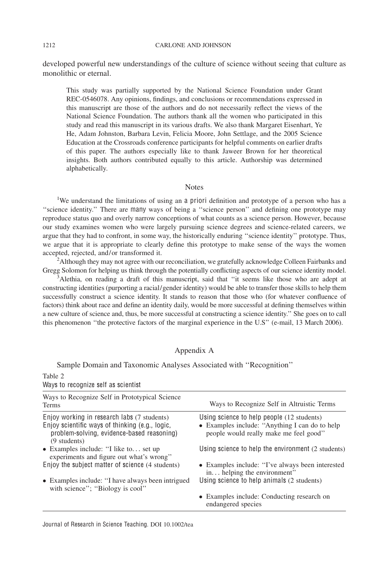#### 1212 CARLONE AND JOHNSON

developed powerful new understandings of the culture of science without seeing that culture as monolithic or eternal.

This study was partially supported by the National Science Foundation under Grant REC-0546078. Any opinions, findings, and conclusions or recommendations expressed in this manuscript are those of the authors and do not necessarily reflect the views of the National Science Foundation. The authors thank all the women who participated in this study and read this manuscript in its various drafts. We also thank Margaret Eisenhart, Ye He, Adam Johnston, Barbara Levin, Felicia Moore, John Settlage, and the 2005 Science Education at the Crossroads conference participants for helpful comments on earlier drafts of this paper. The authors especially like to thank Jaweer Brown for her theoretical insights. Both authors contributed equally to this article. Authorship was determined alphabetically.

## **Notes**

<sup>1</sup>We understand the limitations of using an a priori definition and prototype of a person who has a ''science identity.'' There are many ways of being a ''science person'' and defining one prototype may reproduce status quo and overly narrow conceptions of what counts as a science person. However, because our study examines women who were largely pursuing science degrees and science-related careers, we argue that they had to confront, in some way, the historically enduring ''science identity'' prototype. Thus, we argue that it is appropriate to clearly define this prototype to make sense of the ways the women accepted, rejected, and/or transformed it.

<sup>2</sup>Although they may not agree with our reconciliation, we gratefully acknowledge Colleen Fairbanks and Gregg Solomon for helping us think through the potentially conflicting aspects of our science identity model. <sup>3</sup>

Alethia, on reading a draft of this manuscript, said that ''it seems like those who are adept at constructing identities (purporting a racial/gender identity) would be able to transfer those skills to help them successfully construct a science identity. It stands to reason that those who (for whatever confluence of factors) think about race and define an identity daily, would be more successful at defining themselves within a new culture of science and, thus, be more successful at constructing a science identity.'' She goes on to call this phenomenon ''the protective factors of the marginal experience in the U.S'' (e-mail, 13 March 2006).

## Appendix A

Sample Domain and Taxonomic Analyses Associated with ''Recognition''

| Table 2<br>Ways to recognize self as scientist                                                                                                               |                                                                                                                                        |
|--------------------------------------------------------------------------------------------------------------------------------------------------------------|----------------------------------------------------------------------------------------------------------------------------------------|
| Ways to Recognize Self in Prototypical Science<br><b>Terms</b>                                                                                               | Ways to Recognize Self in Altruistic Terms                                                                                             |
| Enjoy working in research labs (7 students)<br>Enjoy scientific ways of thinking (e.g., logic,<br>problem-solving, evidence-based reasoning)<br>(9 students) | Using science to help people (12 students)<br>• Examples include: "Anything I can do to help<br>people would really make me feel good" |
| • Examples include: "I like to set up<br>experiments and figure out what's wrong"                                                                            | Using science to help the environment (2 students)                                                                                     |
| Enjoy the subject matter of science (4 students)                                                                                                             | • Examples include: "I've always been interested<br>in helping the environment"                                                        |
| • Examples include: "I have always been intrigued<br>with science"; "Biology is cool"                                                                        | Using science to help animals (2 students)                                                                                             |
|                                                                                                                                                              | • Examples include: Conducting research on<br>endangered species                                                                       |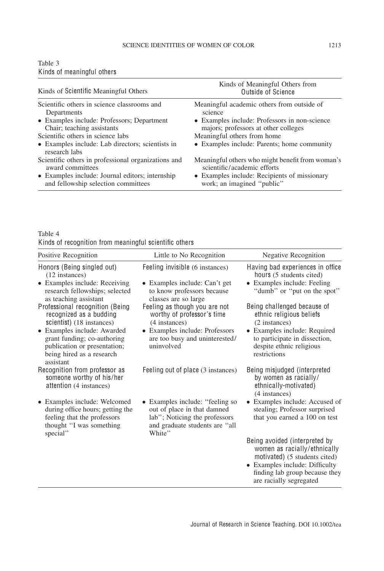## SCIENCE IDENTITIES OF WOMEN OF COLOR 1213

| Table 3 |                            |  |
|---------|----------------------------|--|
|         | Kinds of meaningful others |  |

| Kinds of Scientific Meaningful Others                             | Kinds of Meaningful Others from<br>Outside of Science |
|-------------------------------------------------------------------|-------------------------------------------------------|
| Scientific others in science classrooms and                       | Meaningful academic others from outside of            |
| Departments                                                       | science                                               |
| • Examples include: Professors; Department                        | • Examples include: Professors in non-science         |
| Chair; teaching assistants                                        | majors; professors at other colleges                  |
| Scientific others in science labs                                 | Meaningful others from home                           |
| • Examples include: Lab directors; scientists in<br>research labs | • Examples include: Parents; home community           |
| Scientific others in professional organizations and               | Meaningful others who might benefit from woman's      |
| award committees                                                  | scientific/academic efforts                           |
| • Examples include: Journal editors; internship                   | • Examples include: Recipients of missionary          |
| and fellowship selection committees                               | work; an imagined "public"                            |

Table 4 Kinds of recognition from meaningful scientific others

| Positive Recognition                                                                                                                                                                  | Little to No Recognition                                                                                                                                       | <b>Negative Recognition</b>                                                                                                                                                                   |
|---------------------------------------------------------------------------------------------------------------------------------------------------------------------------------------|----------------------------------------------------------------------------------------------------------------------------------------------------------------|-----------------------------------------------------------------------------------------------------------------------------------------------------------------------------------------------|
| Honors (Being singled out)<br>$(12$ instances)                                                                                                                                        | Feeling invisible (6 instances)                                                                                                                                | Having bad experiences in office<br>hours (5 students cited)                                                                                                                                  |
| • Examples include: Receiving<br>research fellowships; selected<br>as teaching assistant                                                                                              | • Examples include: Can't get<br>to know professors because<br>classes are so large                                                                            | • Examples include: Feeling<br>"dumb" or "put on the spot"                                                                                                                                    |
| Professional recognition (Being<br>recognized as a budding<br>scientist) (18 instances)<br>• Examples include: Awarded<br>grant funding; co-authoring<br>publication or presentation; | Feeling as though you are not<br>worthy of professor's time<br>(4 instances)<br>• Examples include: Professors<br>are too busy and uninterested/<br>uninvolved | Being challenged because of<br>ethnic religious beliefs<br>(2 instances)<br>• Examples include: Required<br>to participate in dissection,<br>despite ethnic religious                         |
| being hired as a research<br>assistant                                                                                                                                                |                                                                                                                                                                | restrictions                                                                                                                                                                                  |
| Recognition from professor as<br>someone worthy of his/her<br>attention (4 instances)                                                                                                 | Feeling out of place (3 instances)                                                                                                                             | Being misjudged (interpreted<br>by women as racially/<br>ethnically-motivated)<br>(4 instances)                                                                                               |
| • Examples include: Welcomed<br>during office hours; getting the<br>feeling that the professors<br>thought "I was something<br>special"                                               | • Examples include: "feeling so<br>out of place in that damned<br>lab"; Noticing the professors<br>and graduate students are "all<br>White"                    | • Examples include: Accused of<br>stealing; Professor surprised<br>that you earned a 100 on test                                                                                              |
|                                                                                                                                                                                       |                                                                                                                                                                | Being avoided (interpreted by<br>women as racially/ethnically<br>motivated) (5 students cited)<br>• Examples include: Difficulty<br>finding lab group because they<br>are racially segregated |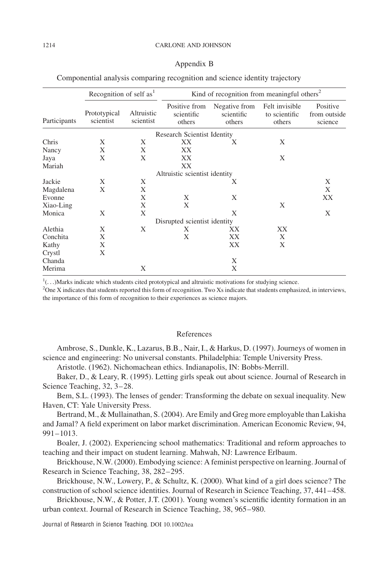#### Appendix B

|              | Recognition of self $as1$ |                         | Kind of recognition from meaningful others <sup>2</sup> |                                       |                                           |                                     |
|--------------|---------------------------|-------------------------|---------------------------------------------------------|---------------------------------------|-------------------------------------------|-------------------------------------|
| Participants | Prototypical<br>scientist | Altruistic<br>scientist | Positive from<br>scientific<br>others                   | Negative from<br>scientific<br>others | Felt invisible<br>to scientific<br>others | Positive<br>from outside<br>science |
|              |                           |                         | Research Scientist Identity                             |                                       |                                           |                                     |
| Chris        | X                         | X                       | XХ                                                      | X                                     | X                                         |                                     |
| Nancy        | X                         | X                       | XX                                                      |                                       |                                           |                                     |
| Jaya         | X                         | X                       | XX                                                      |                                       | X                                         |                                     |
| Mariah       |                           |                         | XX                                                      |                                       |                                           |                                     |
|              |                           |                         | Altruistic scientist identity                           |                                       |                                           |                                     |
| Jackie       | X                         | X                       |                                                         | Χ                                     |                                           | X                                   |
| Magdalena    | X                         | X                       |                                                         |                                       |                                           | X                                   |
| Evonne       |                           | X                       | X                                                       | X                                     |                                           | XX                                  |
| Xiao-Ling    |                           | X                       | X                                                       |                                       | X                                         |                                     |
| Monica       | X                         | X                       |                                                         | X                                     |                                           | X                                   |
|              |                           |                         | Disrupted scientist identity                            |                                       |                                           |                                     |
| Alethia      | X                         | X                       | X                                                       | XХ                                    | XX                                        |                                     |
| Conchita     | X                         |                         | X                                                       | XX                                    | X                                         |                                     |
| Kathy        | X                         |                         |                                                         | XX                                    | X                                         |                                     |
| Crystl       | X                         |                         |                                                         |                                       |                                           |                                     |
| Chanda       |                           |                         |                                                         | X                                     |                                           |                                     |
| Merima       |                           | X                       |                                                         | X                                     |                                           |                                     |

#### Componential analysis comparing recognition and science identity trajectory

 $(1, 1)$ Marks indicate which students cited prototypical and altruistic motivations for studying science.

<sup>2</sup>One X indicates that students reported this form of recognition. Two Xs indicate that students emphasized, in interviews, the importance of this form of recognition to their experiences as science majors.

## References

Ambrose, S., Dunkle, K., Lazarus, B.B., Nair, I., & Harkus, D. (1997). Journeys of women in science and engineering: No universal constants. Philadelphia: Temple University Press.

Aristotle. (1962). Nichomachean ethics. Indianapolis, IN: Bobbs-Merrill.

Baker, D., & Leary, R. (1995). Letting girls speak out about science. Journal of Research in Science Teaching, 32, 3–28.

Bem, S.L. (1993). The lenses of gender: Transforming the debate on sexual inequality. New Haven, CT: Yale University Press.

Bertrand, M., & Mullainathan, S. (2004). Are Emily and Greg more employable than Lakisha and Jamal? A field experiment on labor market discrimination. American Economic Review, 94, 991–1013.

Boaler, J. (2002). Experiencing school mathematics: Traditional and reform approaches to teaching and their impact on student learning. Mahwah, NJ: Lawrence Erlbaum.

Brickhouse, N.W. (2000). Embodying science: A feminist perspective on learning. Journal of Research in Science Teaching, 38, 282–295.

Brickhouse, N.W., Lowery, P., & Schultz, K. (2000). What kind of a girl does science? The construction of school science identities. Journal of Research in Science Teaching, 37, 441–458.

Brickhouse, N.W., & Potter, J.T. (2001). Young women's scientific identity formation in an urban context. Journal of Research in Science Teaching, 38, 965–980.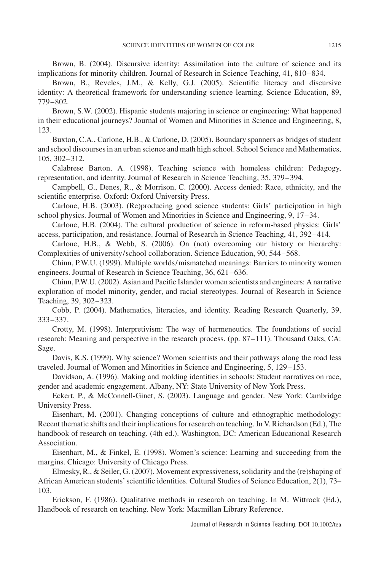Brown, B. (2004). Discursive identity: Assimilation into the culture of science and its implications for minority children. Journal of Research in Science Teaching, 41, 810–834.

Brown, B., Reveles, J.M., & Kelly, G.J. (2005). Scientific literacy and discursive identity: A theoretical framework for understanding science learning. Science Education, 89, 779–802.

Brown, S.W. (2002). Hispanic students majoring in science or engineering: What happened in their educational journeys? Journal of Women and Minorities in Science and Engineering, 8, 123.

Buxton, C.A., Carlone, H.B., & Carlone, D. (2005). Boundary spanners as bridges of student and school discourses in an urban science and math high school. School Science and Mathematics, 105, 302–312.

Calabrese Barton, A. (1998). Teaching science with homeless children: Pedagogy, representation, and identity. Journal of Research in Science Teaching, 35, 379–394.

Campbell, G., Denes, R., & Morrison, C. (2000). Access denied: Race, ethnicity, and the scientific enterprise. Oxford: Oxford University Press.

Carlone, H.B. (2003). (Re)producing good science students: Girls' participation in high school physics. Journal of Women and Minorities in Science and Engineering, 9, 17–34.

Carlone, H.B. (2004). The cultural production of science in reform-based physics: Girls' access, participation, and resistance. Journal of Research in Science Teaching, 41, 392–414.

Carlone, H.B., & Webb, S. (2006). On (not) overcoming our history or hierarchy: Complexities of university/school collaboration. Science Education, 90, 544–568.

Chinn, P.W.U. (1999). Multiple worlds/mismatched meanings: Barriers to minority women engineers. Journal of Research in Science Teaching, 36, 621–636.

Chinn, P.W.U. (2002). Asian and Pacific Islander women scientists and engineers: A narrative exploration of model minority, gender, and racial stereotypes. Journal of Research in Science Teaching, 39, 302–323.

Cobb, P. (2004). Mathematics, literacies, and identity. Reading Research Quarterly, 39, 333–337.

Crotty, M. (1998). Interpretivism: The way of hermeneutics. The foundations of social research: Meaning and perspective in the research process. (pp. 87–111). Thousand Oaks, CA: Sage.

Davis, K.S. (1999). Why science? Women scientists and their pathways along the road less traveled. Journal of Women and Minorities in Science and Engineering, 5, 129–153.

Davidson, A. (1996). Making and molding identities in schools: Student narratives on race, gender and academic engagement. Albany, NY: State University of New York Press.

Eckert, P., & McConnell-Ginet, S. (2003). Language and gender. New York: Cambridge University Press.

Eisenhart, M. (2001). Changing conceptions of culture and ethnographic methodology: Recent thematic shifts and their implications for research on teaching. In V. Richardson (Ed.), The handbook of research on teaching. (4th ed.). Washington, DC: American Educational Research Association.

Eisenhart, M., & Finkel, E. (1998). Women's science: Learning and succeeding from the margins. Chicago: University of Chicago Press.

Elmesky, R., & Seiler, G. (2007). Movement expressiveness, solidarity and the (re)shaping of African American students' scientific identities. Cultural Studies of Science Education, 2(1), 73– 103.

Erickson, F. (1986). Qualitative methods in research on teaching. In M. Wittrock (Ed.), Handbook of research on teaching. New York: Macmillan Library Reference.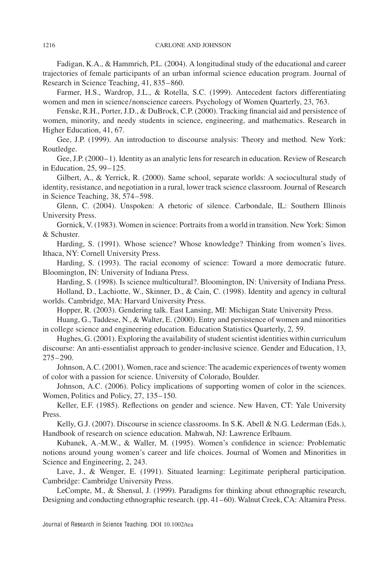Fadigan, K.A., & Hammrich, P.L. (2004). A longitudinal study of the educational and career trajectories of female participants of an urban informal science education program. Journal of Research in Science Teaching, 41, 835–860.

Farmer, H.S., Wardrop, J.L., & Rotella, S.C. (1999). Antecedent factors differentiating women and men in science/nonscience careers. Psychology of Women Quarterly, 23, 763.

Fenske, R.H., Porter, J.D., & DuBrock, C.P. (2000). Tracking financial aid and persistence of women, minority, and needy students in science, engineering, and mathematics. Research in Higher Education, 41, 67.

Gee, J.P. (1999). An introduction to discourse analysis: Theory and method. New York: Routledge.

Gee, J.P. (2000–1). Identity as an analytic lens for research in education. Review of Research in Education, 25, 99–125.

Gilbert, A., & Yerrick, R. (2000). Same school, separate worlds: A sociocultural study of identity, resistance, and negotiation in a rural, lower track science classroom. Journal of Research in Science Teaching, 38, 574–598.

Glenn, C. (2004). Unspoken: A rhetoric of silence. Carbondale, IL: Southern Illinois University Press.

Gornick, V. (1983). Women in science: Portraits from a world in transition. New York: Simon & Schuster.

Harding, S. (1991). Whose science? Whose knowledge? Thinking from women's lives. Ithaca, NY: Cornell University Press.

Harding, S. (1993). The racial economy of science: Toward a more democratic future. Bloomington, IN: University of Indiana Press.

Harding, S. (1998). Is science multicultural?. Bloomington, IN: University of Indiana Press. Holland, D., Lachiotte, W., Skinner, D., & Cain, C. (1998). Identity and agency in cultural

worlds. Cambridge, MA: Harvard University Press.

Hopper, R. (2003). Gendering talk. East Lansing, MI: Michigan State University Press.

Huang, G., Taddese, N., & Walter, E. (2000). Entry and persistence of women and minorities in college science and engineering education. Education Statistics Quarterly, 2, 59.

Hughes, G. (2001). Exploring the availability of student scientist identities within curriculum discourse: An anti-essentialist approach to gender-inclusive science. Gender and Education, 13, 275–290.

Johnson, A.C. (2001). Women, race and science: The academic experiences of twenty women of color with a passion for science. University of Colorado, Boulder.

Johnson, A.C. (2006). Policy implications of supporting women of color in the sciences. Women, Politics and Policy, 27, 135–150.

Keller, E.F. (1985). Reflections on gender and science. New Haven, CT: Yale University Press.

Kelly, G.J. (2007). Discourse in science classrooms. In S.K. Abell & N.G. Lederman (Eds.), Handbook of research on science education. Mahwah, NJ: Lawrence Erlbaum.

Kubanek, A.-M.W., & Waller, M. (1995). Women's confidence in science: Problematic notions around young women's career and life choices. Journal of Women and Minorities in Science and Engineering, 2, 243.

Lave, J., & Wenger, E. (1991). Situated learning: Legitimate peripheral participation. Cambridge: Cambridge University Press.

LeCompte, M., & Shensul, J. (1999). Paradigms for thinking about ethnographic research, Designing and conducting ethnographic research. (pp. 41–60). Walnut Creek, CA: Altamira Press.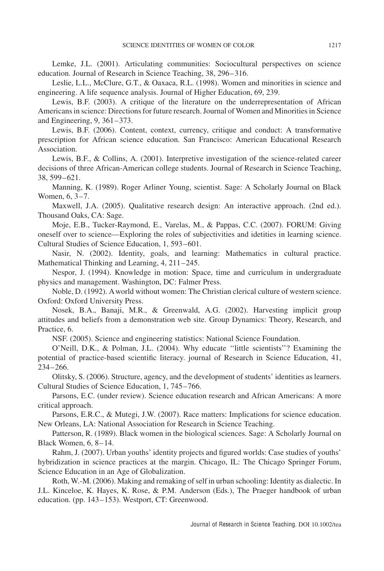Lemke, J.L. (2001). Articulating communities: Sociocultural perspectives on science education. Journal of Research in Science Teaching, 38, 296–316.

Leslie, L.L., McClure, G.T., & Oaxaca, R.L. (1998). Women and minorities in science and engineering. A life sequence analysis. Journal of Higher Education, 69, 239.

Lewis, B.F. (2003). A critique of the literature on the underrepresentation of African Americans in science: Directions for future research. Journal of Women and Minorities in Science and Engineering, 9, 361–373.

Lewis, B.F. (2006). Content, context, currency, critique and conduct: A transformative prescription for African science education. San Francisco: American Educational Research Association.

Lewis, B.F., & Collins, A. (2001). Interpretive investigation of the science-related career decisions of three African-American college students. Journal of Research in Science Teaching, 38, 599–621.

Manning, K. (1989). Roger Arliner Young, scientist. Sage: A Scholarly Journal on Black Women, 6, 3–7.

Maxwell, J.A. (2005). Qualitative research design: An interactive approach. (2nd ed.). Thousand Oaks, CA: Sage.

Moje, E.B., Tucker-Raymond, E., Varelas, M., & Pappas, C.C. (2007). FORUM: Giving oneself over to science—Exploring the roles of subjectivities and idetities in learning science. Cultural Studies of Science Education, 1, 593–601.

Nasir, N. (2002). Identity, goals, and learning: Mathematics in cultural practice. Mathematical Thinking and Learning, 4, 211–245.

Nespor, J. (1994). Knowledge in motion: Space, time and curriculum in undergraduate physics and management. Washington, DC: Falmer Press.

Noble, D. (1992). Aworld without women: The Christian clerical culture of western science. Oxford: Oxford University Press.

Nosek, B.A., Banaji, M.R., & Greenwald, A.G. (2002). Harvesting implicit group attitudes and beliefs from a demonstration web site. Group Dynamics: Theory, Research, and Practice, 6.

NSF. (2005). Science and engineering statistics: National Science Foundation.

O'Neill, D.K., & Polman, J.L. (2004). Why educate ''little scientists''? Examining the potential of practice-based scientific literacy. journal of Research in Science Education, 41, 234–266.

Olitsky, S. (2006). Structure, agency, and the development of students' identities as learners. Cultural Studies of Science Education, 1, 745–766.

Parsons, E.C. (under review). Science education research and African Americans: A more critical approach.

Parsons, E.R.C., & Mutegi, J.W. (2007). Race matters: Implications for science education. New Orleans, LA: National Association for Research in Science Teaching.

Patterson, R. (1989). Black women in the biological sciences. Sage: A Scholarly Journal on Black Women, 6, 8–14.

Rahm, J. (2007). Urban youths' identity projects and figured worlds: Case studies of youths' hybridization in science practices at the margin. Chicago, IL: The Chicago Springer Forum, Science Education in an Age of Globalization.

Roth, W.-M. (2006). Making and remaking of self in urban schooling: Identity as dialectic. In J.L. Kinceloe, K. Hayes, K. Rose, & P.M. Anderson (Eds.), The Praeger handbook of urban education. (pp. 143–153). Westport, CT: Greenwood.